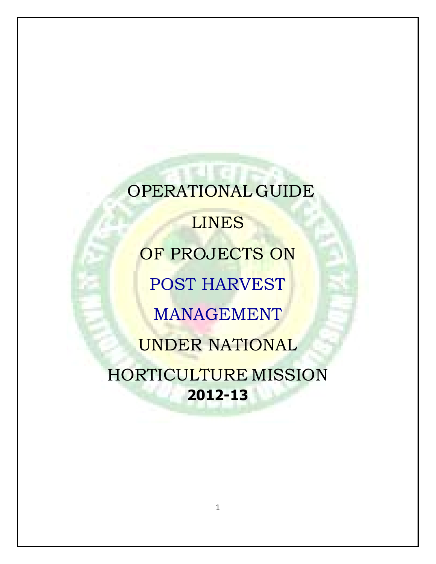**Here** OPERATIONAL GUIDE LINES OF PROJECTS ON POST HARVEST MANAGEMENT UNDER NATIONAL HORTICULTURE MISSION **2012-13**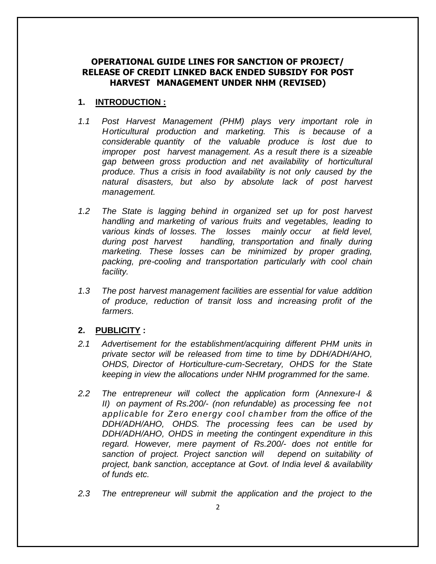### **OPERATIONAL GUIDE LINES FOR SANCTION OF PROJECT/ RELEASE OF CREDIT LINKED BACK ENDED SUBSIDY FOR POST HARVEST MANAGEMENT UNDER NHM (REVISED)**

### **1. INTRODUCTION :**

- *1.1 Post Harvest Management (PHM) plays very important role in Horticultural production and marketing. This is because of a considerable quantity of the valuable produce is lost due to improper post harvest management. As a result there is a sizeable gap between gross production and net availability of horticultural produce. Thus a crisis in food availability is not only caused by the natural disasters, but also by absolute lack of post harvest management.*
- *1.2 The State is lagging behind in organized set up for post harvest handling and marketing of various fruits and vegetables, leading to various kinds of losses. The losses mainly occur at field level, during post harvest handling, transportation and finally during marketing. These losses can be minimized by proper grading, packing, pre-cooling and transportation particularly with cool chain facility.*
- *1.3 The post harvest management facilities are essential for value addition of produce, reduction of transit loss and increasing profit of the farmers.*

### **2. PUBLICITY :**

- *2.1 Advertisement for the establishment/acquiring different PHM units in private sector will be released from time to time by DDH/ADH/AHO, OHDS, Director of Horticulture-cum-Secretary, OHDS for the State keeping in view the allocations under NHM programmed for the same.*
- *2.2 The entrepreneur will collect the application form (Annexure-I & II) on payment of Rs.200/- (non refundable) as processing fee not applicable for Zero energy cool chamber from the office of the DDH/ADH/AHO, OHDS. The processing fees can be used by DDH/ADH/AHO, OHDS in meeting the contingent expenditure in this regard. However, mere payment of Rs.200/- does not entitle for sanction of project. Project sanction will depend on suitability of project, bank sanction, acceptance at Govt. of India level & availability of funds etc.*
- *2.3 The entrepreneur will submit the application and the project to the*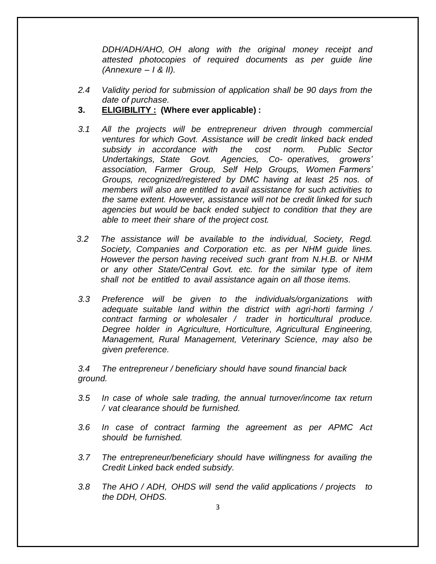*DDH/ADH/AHO, OH along with the original money receipt and attested photocopies of required documents as per guide line (Annexure – I & II).*

- *2.4 Validity period for submission of application shall be 90 days from the date of purchase.*
- **3. ELIGIBILITY : (Where ever applicable) :**
- *3.1 All the projects will be entrepreneur driven through commercial ventures for which Govt. Assistance will be credit linked back ended subsidy in accordance with the cost norm. Public Sector Undertakings, State Govt. Agencies, Co- operatives, growers' association, Farmer Group, Self Help Groups, Women Farmers' Groups, recognized/registered by DMC having at least 25 nos. of members will also are entitled to avail assistance for such activities to the same extent. However, assistance will not be credit linked for such agencies but would be back ended subject to condition that they are able to meet their share of the project cost.*
- *3.2 The assistance will be available to the individual, Society, Regd. Society, Companies and Corporation etc. as per NHM guide lines. However the person having received such grant from N.H.B. or NHM or any other State/Central Govt. etc. for the similar type of item shall not be entitled to avail assistance again on all those items.*
- *3.3 Preference will be given to the individuals/organizations with adequate suitable land within the district with agri-horti farming / contract farming or wholesaler / trader in horticultural produce. Degree holder in Agriculture, Horticulture, Agricultural Engineering, Management, Rural Management, Veterinary Science, may also be given preference.*

*3.4 The entrepreneur / beneficiary should have sound financial back ground.*

- *3.5 In case of whole sale trading, the annual turnover/income tax return / vat clearance should be furnished.*
- *3.6 In case of contract farming the agreement as per APMC Act should be furnished.*
- *3.7 The entrepreneur/beneficiary should have willingness for availing the Credit Linked back ended subsidy.*
- *3.8 The AHO / ADH, OHDS will send the valid applications / projects to the DDH, OHDS.*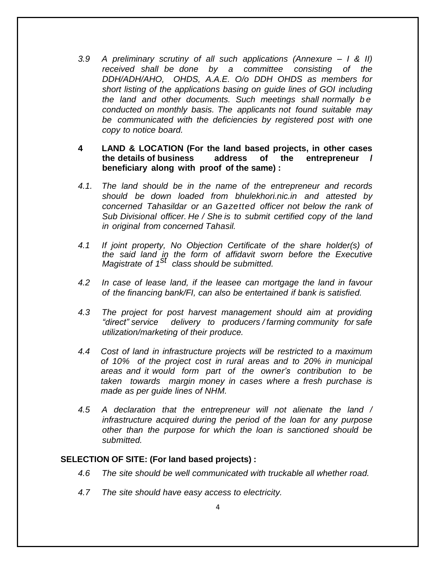*3.9 A preliminary scrutiny of all such applications (Annexure – I & II) received shall be done by a committee consisting of the DDH/ADH/AHO, OHDS, A.A.E. O/o DDH OHDS as members for short listing of the applications basing on guide lines of GOI including the land and other documents. Such meetings shall normally b e conducted on monthly basis. The applicants not found suitable may be communicated with the deficiencies by registered post with one copy to notice board.*

### **4 LAND & LOCATION (For the land based projects, in other cases the details of business address of the entrepreneur / beneficiary along with proof of the same) :**

- *4.1. The land should be in the name of the entrepreneur and records should be down loaded from bhulekhori.nic.in and attested by concerned Tahasildar or an Gazetted officer not below the rank of Sub Divisional officer. He / She is to submit certified copy of the land in original from concerned Tahasil.*
- *4.1 If joint property, No Objection Certificate of the share holder(s) of the said land in the form of affidavit sworn before the Executive Magistrate of 1 st class should be submitted.*
- *4.2 In case of lease land, if the leasee can mortgage the land in favour of the financing bank/FI, can also be entertained if bank is satisfied.*
- *4.3 The project for post harvest management should aim at providing "direct" service delivery to producers / farming community for safe utilization/marketing of their produce.*
- *4.4 Cost of land in infrastructure projects will be restricted to a maximum of 10% of the project cost in rural areas and to 20% in municipal areas and it would form part of the owner's contribution to be taken towards margin money in cases where a fresh purchase is made as per guide lines of NHM.*
- *4.5 A declaration that the entrepreneur will not alienate the land / infrastructure acquired during the period of the loan for any purpose other than the purpose for which the loan is sanctioned should be submitted.*

#### **SELECTION OF SITE: (For land based projects) :**

- *4.6 The site should be well communicated with truckable all whether road.*
- *4.7 The site should have easy access to electricity.*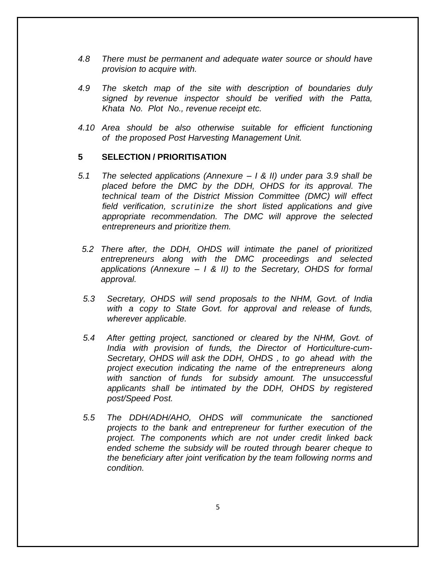- *4.8 There must be permanent and adequate water source or should have provision to acquire with.*
- *4.9 The sketch map of the site with description of boundaries duly signed by revenue inspector should be verified with the Patta, Khata No. Plot No., revenue receipt etc.*
- *4.10 Area should be also otherwise suitable for efficient functioning of the proposed Post Harvesting Management Unit.*

#### **5 SELECTION / PRIORITISATION**

- *5.1 The selected applications (Annexure – I & II) under para 3.9 shall be placed before the DMC by the DDH, OHDS for its approval. The technical team of the District Mission Committee (DMC) will effect field verification, scrutinize the short listed applications and give appropriate recommendation. The DMC will approve the selected entrepreneurs and prioritize them.*
- *5.2 There after, the DDH, OHDS will intimate the panel of prioritized entrepreneurs along with the DMC proceedings and selected applications (Annexure – I & II) to the Secretary, OHDS for formal approval.*
- *5.3 Secretary, OHDS will send proposals to the NHM, Govt. of India with a copy to State Govt. for approval and release of funds, wherever applicable.*
- *5.4 After getting project, sanctioned or cleared by the NHM, Govt. of India with provision of funds, the Director of Horticulture-cum-Secretary, OHDS will ask the DDH, OHDS , to go ahead with the project execution indicating the name of the entrepreneurs along with sanction of funds for subsidy amount. The unsuccessful applicants shall be intimated by the DDH, OHDS by registered post/Speed Post.*
- *5.5 The DDH/ADH/AHO, OHDS will communicate the sanctioned projects to the bank and entrepreneur for further execution of the project. The components which are not under credit linked back ended scheme the subsidy will be routed through bearer cheque to the beneficiary after joint verification by the team following norms and condition.*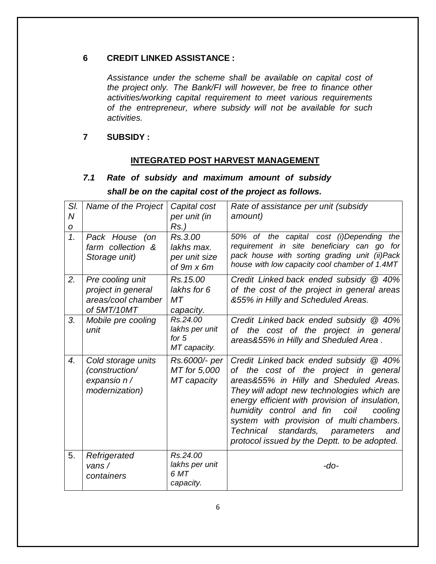## **6 CREDIT LINKED ASSISTANCE :**

*Assistance under the scheme shall be available on capital cost of the project only. The Bank/FI will however, be free to finance other activities/working capital requirement to meet various requirements of the entrepreneur, where subsidy will not be available for such activities.*

### **7 SUBSIDY :**

## **INTEGRATED POST HARVEST MANAGEMENT**

# *7.1 Rate of subsidy and maximum amount of subsidy shall be on the capital cost of the project as follows.*

| SI.<br>$\overline{N}$<br>$\boldsymbol{O}$ | Name of the Project                                                         | Capital cost<br>per unit (in<br>$Rs.$ )                     | Rate of assistance per unit (subsidy<br>amount)                                                                                                                                                                                                                                                                                                                                                                |
|-------------------------------------------|-----------------------------------------------------------------------------|-------------------------------------------------------------|----------------------------------------------------------------------------------------------------------------------------------------------------------------------------------------------------------------------------------------------------------------------------------------------------------------------------------------------------------------------------------------------------------------|
| $\mathcal{I}$ .                           | Pack House (on<br>farm collection &<br>Storage unit)                        | Rs.3.00<br>lakhs max.<br>per unit size<br>of $9m \times 6m$ | 50% of the capital cost (i)Depending the<br>requirement in site beneficiary can go for<br>pack house with sorting grading unit (ii)Pack<br>house with low capacity cool chamber of 1.4MT                                                                                                                                                                                                                       |
| 2.                                        | Pre cooling unit<br>project in general<br>areas/cool chamber<br>of 5MT/10MT | Rs. 15.00<br>lakhs for 6<br>MT<br>capacity.                 | Credit Linked back ended subsidy @ 40%<br>of the cost of the project in general areas<br>&55% in Hilly and Scheduled Areas.                                                                                                                                                                                                                                                                                    |
| 3.                                        | Mobile pre cooling<br>unit                                                  | Rs.24.00<br>lakhs per unit<br>for $5$<br>MT capacity.       | Credit Linked back ended subsidy @ 40%<br>of the cost of the project in general<br>areas&55% in Hilly and Sheduled Area.                                                                                                                                                                                                                                                                                       |
| $\overline{4}$ .                          | Cold storage units<br>(construction/<br>expansio n/<br>modernization)       | Rs.6000/- per<br>MT for 5,000<br>MT capacity                | Credit Linked back ended subsidy @ 40%<br>of the cost of the project in general<br>areas&55% in Hilly and Sheduled Areas.<br>They will adopt new technologies which are<br>energy efficient with provision of insulation,<br>humidity control and fin<br>coil<br>cooling<br>system with provision of multi chambers.<br>Technical standards, parameters<br>and<br>protocol issued by the Deptt. to be adopted. |
| 5.                                        | Refrigerated<br>vans $/$<br>containers                                      | Rs.24.00<br>lakhs per unit<br>6 MT<br>capacity.             | $-do-$                                                                                                                                                                                                                                                                                                                                                                                                         |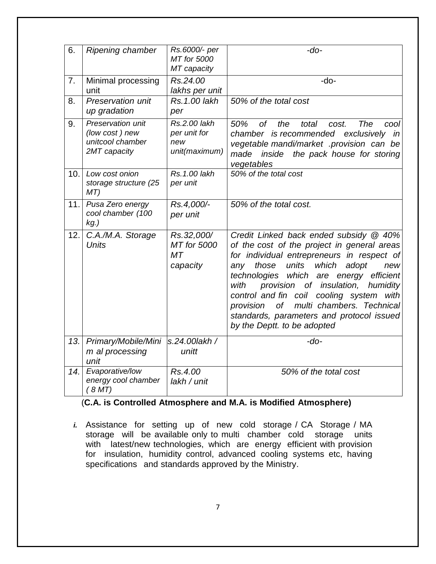| 6.  | <b>Ripening chamber</b>                                                 | Rs.6000/- per                                        | $-do-$                                                                                                                                                                                                                                                                                                                                                                                                                                                         |
|-----|-------------------------------------------------------------------------|------------------------------------------------------|----------------------------------------------------------------------------------------------------------------------------------------------------------------------------------------------------------------------------------------------------------------------------------------------------------------------------------------------------------------------------------------------------------------------------------------------------------------|
|     |                                                                         | <b>MT</b> for 5000                                   |                                                                                                                                                                                                                                                                                                                                                                                                                                                                |
|     |                                                                         | MT capacity                                          |                                                                                                                                                                                                                                                                                                                                                                                                                                                                |
| 7.  | Minimal processing                                                      | Rs.24.00                                             | $-do-$                                                                                                                                                                                                                                                                                                                                                                                                                                                         |
|     | unit                                                                    | lakhs per unit                                       |                                                                                                                                                                                                                                                                                                                                                                                                                                                                |
| 8.  | Preservation unit<br>up gradation                                       | Rs. 1.00 lakh<br>per                                 | 50% of the total cost                                                                                                                                                                                                                                                                                                                                                                                                                                          |
| 9.  | Preservation unit<br>(low cost) new<br>unitcool chamber<br>2MT capacity | Rs.2.00 lakh<br>per unit for<br>new<br>unit(maximum) | 50%<br>0f<br>the<br>total<br>The<br>cost.<br>cool<br>chamber is recommended exclusively<br>in<br>vegetable mandi/market .provision can be<br>made<br>the pack house for storing<br>inside<br>vegetables                                                                                                                                                                                                                                                        |
| 10. | Low cost onion<br>storage structure (25<br>MT)                          | Rs.1.00 lakh<br>per unit                             | 50% of the total cost                                                                                                                                                                                                                                                                                                                                                                                                                                          |
| 11. | Pusa Zero energy<br>cool chamber (100<br>$kg.$ )                        | Rs.4,000/-<br>per unit                               | 50% of the total cost.                                                                                                                                                                                                                                                                                                                                                                                                                                         |
| 12. | C.A./M.A. Storage<br><b>Units</b>                                       | Rs.32,000/<br>MT for 5000<br>MT<br>capacity          | Credit Linked back ended subsidy @ 40%<br>of the cost of the project in general areas<br>for individual entrepreneurs in respect of<br>which<br>adopt<br>those<br>units<br>any<br>new<br>technologies which are energy<br>efficient<br>provision of insulation,<br>with<br>humidity<br>control and fin coil cooling system<br>with<br>multi chambers. Technical<br>of<br>provision<br>standards, parameters and protocol issued<br>by the Deptt. to be adopted |
| 13. | Primary/Mobile/Mini<br>m al processing<br>unit                          | s.24.00lakh /<br>unitt                               | $-do-$                                                                                                                                                                                                                                                                                                                                                                                                                                                         |
| 14. | Evaporative/low<br>energy cool chamber<br>(8MT)                         | Rs.4.00<br>lakh / unit                               | 50% of the total cost                                                                                                                                                                                                                                                                                                                                                                                                                                          |

## (**C.A. is Controlled Atmosphere and M.A. is Modified Atmosphere)**

*i.* Assistance for setting up of new cold storage / CA Storage / MA storage will be available only to multi chamber cold storage units with latest/new technologies, which are energy efficient with provision for insulation, humidity control, advanced cooling systems etc, having specifications and standards approved by the Ministry.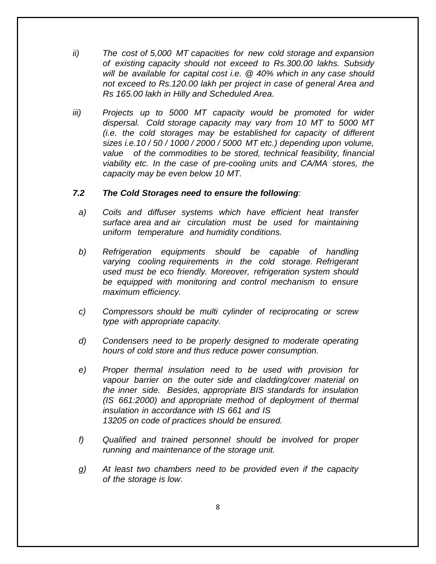- *ii) The cost of 5,000 MT capacities for new cold storage and expansion of existing capacity should not exceed to Rs.300.00 lakhs. Subsidy will be available for capital cost i.e. @ 40% which in any case should not exceed to Rs.120.00 lakh per project in case of general Area and Rs 165.00 lakh in Hilly and Scheduled Area.*
- *iii) Projects up to 5000 MT capacity would be promoted for wider dispersal. Cold storage capacity may vary from 10 MT to 5000 MT (i.e. the cold storages may be established for capacity of different sizes i.e.10 / 50 / 1000 / 2000 / 5000 MT etc.) depending upon volume, value of the commodities to be stored, technical feasibility, financial viability etc. In the case of pre-cooling units and CA/MA stores, the capacity may be even below 10 MT.*

### *7.2 The Cold Storages need to ensure the following*:

- *a) Coils and diffuser systems which have efficient heat transfer surface area and air circulation must be used for maintaining uniform temperature and humidity conditions.*
- *b) Refrigeration equipments should be capable of handling varying cooling requirements in the cold storage. Refrigerant used must be eco friendly. Moreover, refrigeration system should be equipped with monitoring and control mechanism to ensure maximum efficiency.*
- *c) Compressors should be multi cylinder of reciprocating or screw type with appropriate capacity.*
- *d) Condensers need to be properly designed to moderate operating hours of cold store and thus reduce power consumption.*
- *e) Proper thermal insulation need to be used with provision for vapour barrier on the outer side and cladding/cover material on the inner side. Besides, appropriate BIS standards for insulation (IS 661:2000) and appropriate method of deployment of thermal insulation in accordance with IS 661 and IS 13205 on code of practices should be ensured.*
- *f) Qualified and trained personnel should be involved for proper running and maintenance of the storage unit.*
- *g) At least two chambers need to be provided even if the capacity of the storage is low.*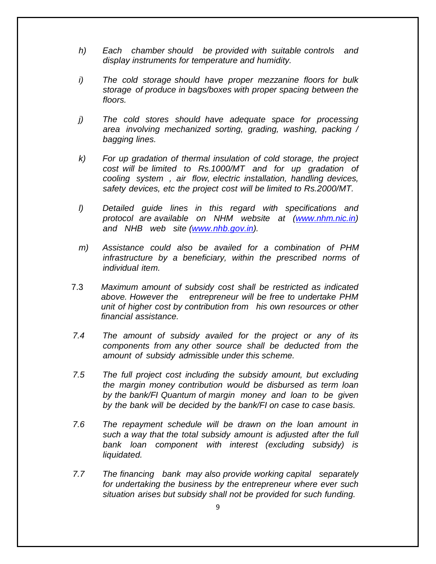- *h) Each chamber should be provided with suitable controls and display instruments for temperature and humidity.*
- *i) The cold storage should have proper mezzanine floors for bulk storage of produce in bags/boxes with proper spacing between the floors.*
- *j) The cold stores should have adequate space for processing area involving mechanized sorting, grading, washing, packing / bagging lines.*
- *k) For up gradation of thermal insulation of cold storage, the project cost will be limited to Rs.1000/MT and for up gradation of cooling system , air flow, electric installation, handling devices, safety devices, etc the project cost will be limited to Rs.2000/MT.*
- *l) Detailed guide lines in this regard with specifications and protocol are available on NHM website at [\(www.nhm.nic.in](http://www.nhm.nic.in/)) and NHB web site [\(www.nhb.gov.in\)](http://www.nhb.gov.in/).*
- *m) Assistance could also be availed for a combination of PHM infrastructure by a beneficiary, within the prescribed norms of individual item.*
- 7.3 *Maximum amount of subsidy cost shall be restricted as indicated above. However the entrepreneur will be free to undertake PHM unit of higher cost by contribution from his own resources or other financial assistance.*
- *7.4 The amount of subsidy availed for the project or any of its components from any other source shall be deducted from the amount of subsidy admissible under this scheme.*
- *7.5 The full project cost including the subsidy amount, but excluding the margin money contribution would be disbursed as term loan by the bank/FI Quantum of margin money and loan to be given by the bank will be decided by the bank/FI on case to case basis.*
- *7.6 The repayment schedule will be drawn on the loan amount in such a way that the total subsidy amount is adjusted after the full bank loan component with interest (excluding subsidy) is liquidated.*
- *7.7 The financing bank may also provide working capital separately for undertaking the business by the entrepreneur where ever such situation arises but subsidy shall not be provided for such funding.*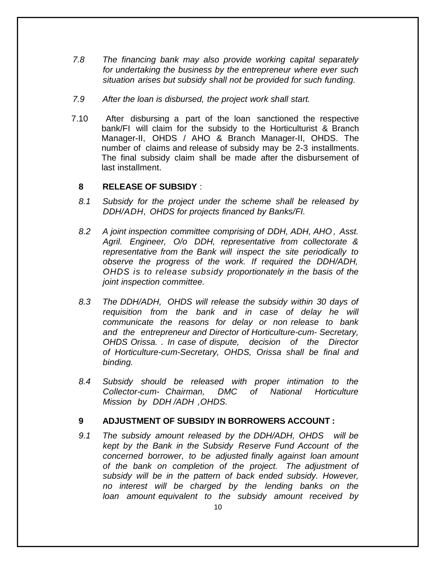- *7.8 The financing bank may also provide working capital separately for undertaking the business by the entrepreneur where ever such situation arises but subsidy shall not be provided for such funding.*
- *7.9 After the loan is disbursed, the project work shall start.*
- 7.10 After disbursing a part of the loan sanctioned the respective bank/FI will claim for the subsidy to the Horticulturist & Branch Manager-II, OHDS / AHO & Branch Manager-II, OHDS. The number of claims and release of subsidy may be 2-3 installments. The final subsidy claim shall be made after the disbursement of last installment.

### **8 RELEASE OF SUBSIDY** :

- *8.1 Subsidy for the project under the scheme shall be released by DDH/ADH, OHDS for projects financed by Banks/FI.*
- *8.2 A joint inspection committee comprising of DDH, ADH, AHO , Asst. Agril. Engineer, O/o DDH, representative from collectorate & representative from the Bank will inspect the site periodically to observe the progress of the work. If required the DDH/ADH, OHDS is to release subsidy proportionately in the basis of the joint inspection committee.*
- *8.3 The DDH/ADH, OHDS will release the subsidy within 30 days of requisition from the bank and in case of delay he will communicate the reasons for delay or non release to bank and the entrepreneur and Director of Horticulture-cum- Secretary, OHDS Orissa. . In case of dispute, decision of the Director of Horticulture-cum-Secretary, OHDS, Orissa shall be final and binding.*
- *8.4 Subsidy should be released with proper intimation to the Collector-cum- Chairman, DMC of National Horticulture Mission by DDH /ADH ,OHDS.*

### **9 ADJUSTMENT OF SUBSIDY IN BORROWERS ACCOUNT :**

*9.1 The subsidy amount released by the DDH/ADH, OHDS will be kept by the Bank in the Subsidy Reserve Fund Account of the concerned borrower, to be adjusted finally against loan amount of the bank on completion of the project. The adjustment of subsidy will be in the pattern of back ended subsidy. However, no interest will be charged by the lending banks on the loan amount equivalent to the subsidy amount received by*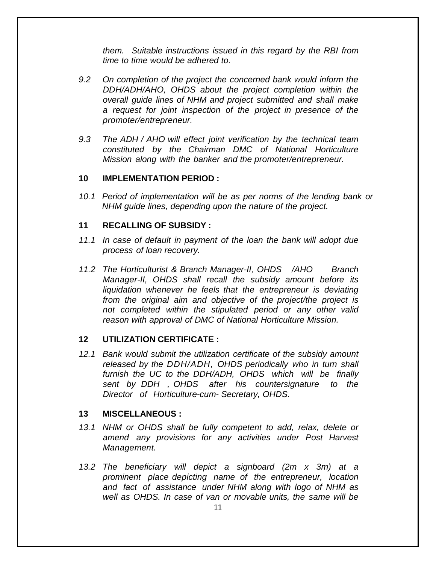*them. Suitable instructions issued in this regard by the RBI from time to time would be adhered to.*

- *9.2 On completion of the project the concerned bank would inform the DDH/ADH/AHO, OHDS about the project completion within the overall guide lines of NHM and project submitted and shall make a request for joint inspection of the project in presence of the promoter/entrepreneur.*
- *9.3 The ADH / AHO will effect joint verification by the technical team constituted by the Chairman DMC of National Horticulture Mission along with the banker and the promoter/entrepreneur.*

#### **10 IMPLEMENTATION PERIOD :**

*10.1 Period of implementation will be as per norms of the lending bank or NHM guide lines, depending upon the nature of the project.*

#### **11 RECALLING OF SUBSIDY :**

- *11.1 In case of default in payment of the loan the bank will adopt due process of loan recovery.*
- *11.2 The Horticulturist & Branch Manager-II, OHDS /AHO Branch Manager-II, OHDS shall recall the subsidy amount before its liquidation whenever he feels that the entrepreneur is deviating from the original aim and objective of the project/the project is not completed within the stipulated period or any other valid reason with approval of DMC of National Horticulture Mission.*

#### **12 UTILIZATION CERTIFICATE :**

*12.1 Bank would submit the utilization certificate of the subsidy amount released by the DDH/ADH, OHDS periodically who in turn shall furnish the UC to the DDH/ADH, OHDS which will be finally sent by DDH , OHDS after his countersignature to the Director of Horticulture-cum- Secretary, OHDS.*

#### **13 MISCELLANEOUS :**

- *13.1 NHM or OHDS shall be fully competent to add, relax, delete or amend any provisions for any activities under Post Harvest Management.*
- *13.2 The beneficiary will depict a signboard (2m x 3m) at a prominent place depicting name of the entrepreneur, location and fact of assistance under NHM along with logo of NHM as well as OHDS. In case of van or movable units, the same will be*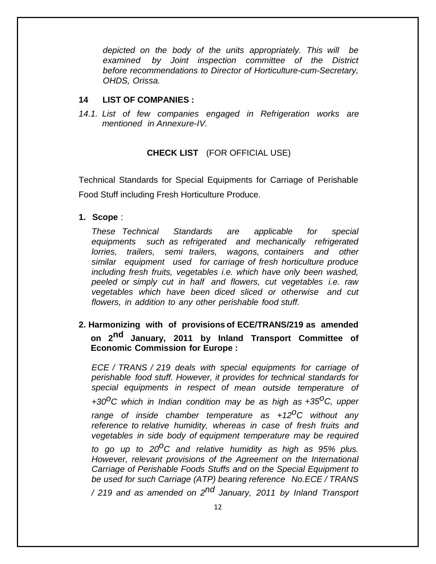*depicted on the body of the units appropriately. This will be examined by Joint inspection committee of the District before recommendations to Director of Horticulture-cum-Secretary, OHDS, Orissa.*

### **14 LIST OF COMPANIES :**

*14.1. List of few companies engaged in Refrigeration works are mentioned in Annexure-IV.*

### **CHECK LIST** (FOR OFFICIAL USE)

Technical Standards for Special Equipments for Carriage of Perishable Food Stuff including Fresh Horticulture Produce.

**1. Scope** :

*These Technical Standards are applicable for special equipments such as refrigerated and mechanically refrigerated lorries, trailers, semi trailers, wagons, containers and other similar equipment used for carriage of fresh horticulture produce including fresh fruits, vegetables i.e. which have only been washed, peeled or simply cut in half and flowers, cut vegetables i.e. raw vegetables which have been diced sliced or otherwise and cut flowers, in addition to any other perishable food stuff.*

## **2. Harmonizing with of provisions of ECE/TRANS/219 as amended on 2 nd January, 2011 by Inland Transport Committee of Economic Commission for Europe :**

*ECE / TRANS / 219 deals with special equipments for carriage of perishable food stuff. However, it provides for technical standards for special equipments in respect of mean outside temperature of +30 oC which in Indian condition may be as high as +35oC, upper range of inside chamber temperature as +12oC without any reference to relative humidity, whereas in case of fresh fruits and vegetables in side body of equipment temperature may be required to go up to 20 oC and relative humidity as high as 95% plus. However, relevant provisions of the Agreement on the International Carriage of Perishable Foods Stuffs and on the Special Equipment to be used for such Carriage (ATP) bearing reference No.ECE / TRANS*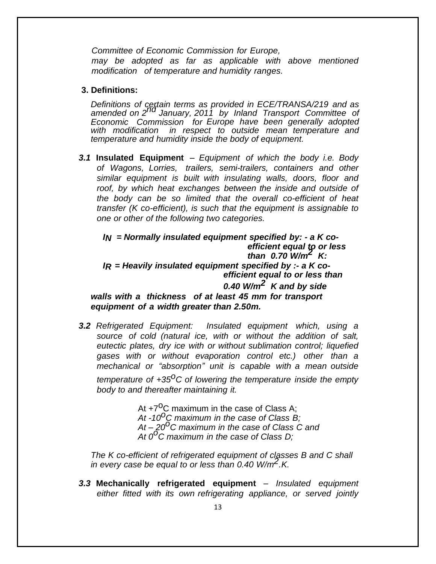*Committee of Economic Commission for Europe, may be adopted as far as applicable with above mentioned modification of temperature and humidity ranges.*

#### **3. Definitions:**

*Definitions of certain terms as provided in ECE/TRANSA/219 and as amended on 2 nd January, 2011 by Inland Transport Committee of Economic Commission for Europe have been generally adopted with modification in respect to outside mean temperature and temperature and humidity inside the body of equipment.*

*3.1* **Insulated Equipment** – *Equipment of which the body i.e. Body of Wagons, Lorries, trailers, semi-trailers, containers and other similar equipment is built with insulating walls, doors, floor and roof, by which heat exchanges between the inside and outside of the body can be so limited that the overall co-efficient of heat transfer (K co-efficient), is such that the equipment is assignable to one or other of the following two categories.*

*IN = Normally insulated equipment specified by: - a K coefficient equal to or less than 0.70 W/m2 K: IR = Heavily insulated equipment specified by :- a K coefficient equal to or less than 0.40 W/m2 K and by side walls with a thickness of at least 45 mm for transport equipment of a width greater than 2.50m.*

*3.2 Refrigerated Equipment: Insulated equipment which, using a source of cold (natural ice, with or without the addition of salt, eutectic plates, dry ice with or without sublimation control; liquefied gases with or without evaporation control etc.) other than a mechanical or "absorption" unit is capable with a mean outside temperature of +35oC of lowering the temperature inside the empty body to and thereafter maintaining it.*

> At  $+7^{\circ}$ C maximum in the case of Class A; *At -10oC maximum in the case of Class B; At – 20oC maximum in the case of Class C and At 0oC maximum in the case of Class D;*

*The K co-efficient of refrigerated equipment of classes B and C shall in every case be equal to or less than 0.40 W/m2 .K.*

*3.3* **Mechanically refrigerated equipment** – *Insulated equipment either fitted with its own refrigerating appliance, or served jointly*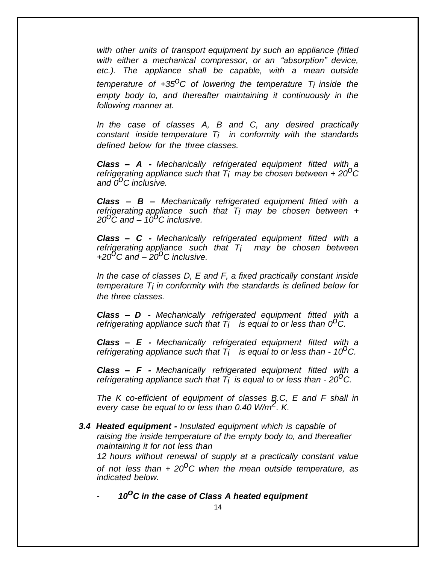*with other units of transport equipment by such an appliance (fitted with either a mechanical compressor, or an "absorption" device, etc.). The appliance shall be capable, with a mean outside temperature of +35 oC of lowering the temperature Ti inside the empty body to, and thereafter maintaining it continuously in the following manner at.*

*In the case of classes A, B and C, any desired practically constant inside temperature Ti in conformity with the standards defined below for the three classes.*

*Class – A - Mechanically refrigerated equipment fitted with a refrigerating appliance such that Ti may be chosen between <sup>+</sup> <sup>20</sup>oC and 0 oC inclusive.*

*Class – B – Mechanically refrigerated equipment fitted with a refrigerating appliance such that Ti may be chosen between + 20oC and – 10oC inclusive.*

*Class – C - Mechanically refrigerated equipment fitted with a refrigerating appliance such that Ti may be chosen between +20oC and – 20oC inclusive.*

*In the case of classes D, E and F, a fixed practically constant inside temperature Ti in conformity with the standards is defined below for the three classes.*

*Class – D - Mechanically refrigerated equipment fitted with a refrigerating appliance such that Ti is equal to or less than 0 oC.*

*Class – E - Mechanically refrigerated equipment fitted with a refrigerating appliance such that Ti is equal to or less than - <sup>10</sup>oC.*

*Class – F - Mechanically refrigerated equipment fitted with a refrigerating appliance such that Ti is equal to or less than - 20 oC.*

*The K co-efficient of equipment of classes B.C, E and F shall in every case be equal to or less than 0.40 W/m 2 . K.*

*3.4 Heated equipment - Insulated equipment which is capable of raising the inside temperature of the empty body to, and thereafter maintaining it for not less than*

*12 hours without renewal of supply at a practically constant value of not less than + 20oC when the mean outside temperature, as indicated below.*

- *10oC in the case of Class A heated equipment*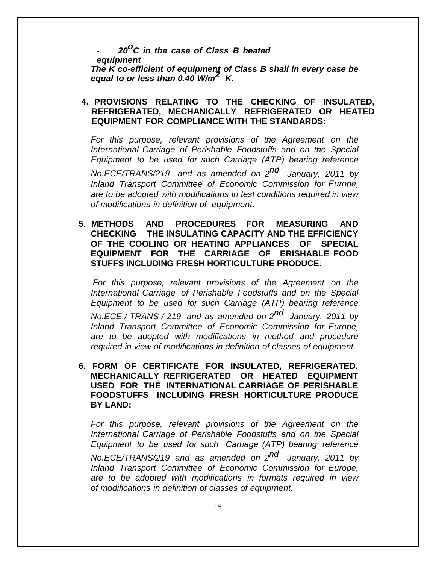- *<sup>20</sup>oC in the case of Class <sup>B</sup> heated equipment The K co-efficient of equipment of Class B shall in every case be equal to or less than 0.40 W/m2 K*.

### **4. PROVISIONS RELATING TO THE CHECKING OF INSULATED, REFRIGERATED, MECHANICALLY REFRIGERATED OR HEATED EQUIPMENT FOR COMPLIANCE WITH THE STANDARDS:**

*For this purpose, relevant provisions of the Agreement on the International Carriage of Perishable Foodstuffs and on the Special Equipment to be used for such Carriage (ATP) bearing reference No.ECE/TRANS/219 and as amended on 2 nd January, <sup>2011</sup> by Inland Transport Committee of Economic Commission for Europe, are to be adopted with modifications in test conditions required in view of modifications in definition of equipment*.

**5**. **METHODS AND PROCEDURES FOR MEASURING AND CHECKING THE INSULATING CAPACITY AND THE EFFICIENCY OF THE COOLING OR HEATING APPLIANCES OF SPECIAL EQUIPMENT FOR THE CARRIAGE OF ERISHABLE FOOD STUFFS INCLUDING FRESH HORTICULTURE PRODUCE**:

*For this purpose, relevant provisions of the Agreement on the International Carriage of Perishable Foodstuffs and on the Special Equipment to be used for such Carriage (ATP) bearing reference*

*No.ECE / TRANS / 219 and as amended on 2 nd January, 2011 by Inland Transport Committee of Economic Commission for Europe, are to be adopted with modifications in method and procedure required in view of modifications in definition of classes of equipment.*

**6. FORM OF CERTIFICATE FOR INSULATED, REFRIGERATED, MECHANICALLY REFRIGERATED OR HEATED EQUIPMENT USED FOR THE INTERNATIONAL CARRIAGE OF PERISHABLE FOODSTUFFS INCLUDING FRESH HORTICULTURE PRODUCE BY LAND:**

*For this purpose, relevant provisions of the Agreement on the International Carriage of Perishable Foodstuffs and on the Special Equipment to be used for such Carriage (ATP) bearing reference No.ECE/TRANS/219 and as amended on 2 nd January, 2011 by Inland Transport Committee of Economic Commission for Europe, are to be adopted with modifications in formats required in view of modifications in definition of classes of equipment.*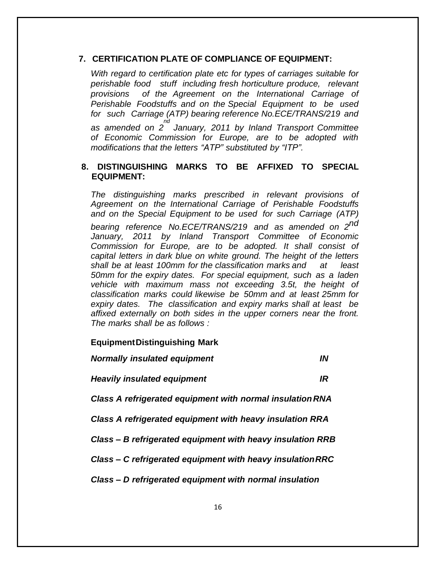#### **7. CERTIFICATION PLATE OF COMPLIANCE OF EQUIPMENT:**

*With regard to certification plate etc for types of carriages suitable for perishable food stuff including fresh horticulture produce, relevant provisions of the Agreement on the International Carriage of Perishable Foodstuffs and on the Special Equipment to be used for such Carriage (ATP) bearing reference No.ECE/TRANS/219 and as amended on 2 nd January, 2011 by Inland Transport Committee of Economic Commission for Europe, are to be adopted with modifications that the letters "ATP" substituted by "ITP".*

### **8. DISTINGUISHING MARKS TO BE AFFIXED TO SPECIAL EQUIPMENT:**

*The distinguishing marks prescribed in relevant provisions of Agreement on the International Carriage of Perishable Foodstuffs and on the Special Equipment to be used for such Carriage (ATP) bearing reference No.ECE/TRANS/219 and as amended on 2 nd January, 2011 by Inland Transport Committee of Economic Commission for Europe, are to be adopted. It shall consist of capital letters in dark blue on white ground. The height of the letters shall be at least 100mm for the classification marks and at least 50mm for the expiry dates. For special equipment, such as a laden vehicle with maximum mass not exceeding 3.5t, the height of classification marks could likewise be 50mm and at least 25mm for expiry dates. The classification and expiry marks shall at least be affixed externally on both sides in the upper corners near the front. The marks shall be as follows :*

#### **EquipmentDistinguishing Mark**

*Normally insulated equipment IN* 

*Heavily insulated equipment IR* 

*Class A refrigerated equipment with normal insulationRNA* 

*Class A refrigerated equipment with heavy insulation RRA* 

*Class – B refrigerated equipment with heavy insulation RRB* 

*Class – C refrigerated equipment with heavy insulationRRC* 

*Class – D refrigerated equipment with normal insulation*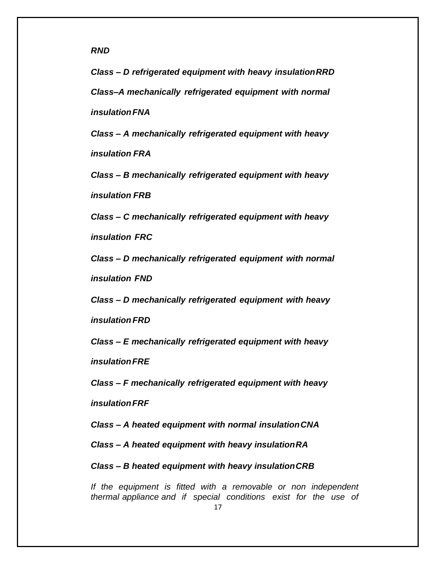*RND* 

*Class – D refrigerated equipment with heavy insulationRRD Class–A mechanically refrigerated equipment with normal insulationFNA* 

*Class – A mechanically refrigerated equipment with heavy insulation FRA* 

*Class – B mechanically refrigerated equipment with heavy insulation FRB* 

*Class – C mechanically refrigerated equipment with heavy*

*insulation FRC* 

*Class – D mechanically refrigerated equipment with normal insulation FND*

*Class – D mechanically refrigerated equipment with heavy*

*insulationFRD* 

*Class – E mechanically refrigerated equipment with heavy*

*insulationFRE* 

*Class – F mechanically refrigerated equipment with heavy*

*insulationFRF* 

*Class – A heated equipment with normal insulationCNA* 

*Class – A heated equipment with heavy insulationRA* 

*Class – B heated equipment with heavy insulationCRB*

*If the equipment is fitted with a removable or non independent thermal appliance and if special conditions exist for the use of*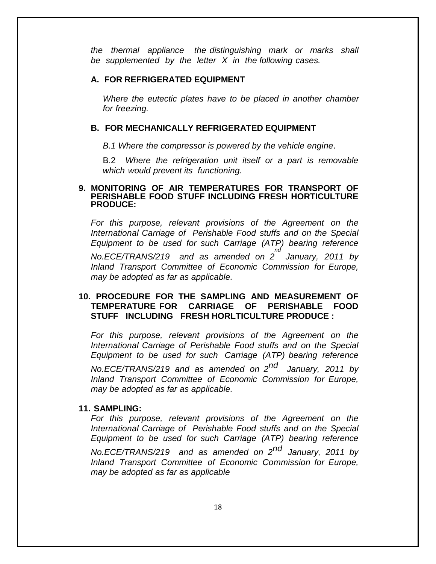*the thermal appliance the distinguishing mark or marks shall be supplemented by the letter X in the following cases.*

#### **A. FOR REFRIGERATED EQUIPMENT**

*Where the eutectic plates have to be placed in another chamber for freezing.*

#### **B. FOR MECHANICALLY REFRIGERATED EQUIPMENT**

*B.1 Where the compressor is powered by the vehicle engine*.

B.2 *Where the refrigeration unit itself or a part is removable which would prevent its functioning.*

#### **9. MONITORING OF AIR TEMPERATURES FOR TRANSPORT OF PERISHABLE FOOD STUFF INCLUDING FRESH HORTICULTURE PRODUCE:**

*For this purpose, relevant provisions of the Agreement on the International Carriage of Perishable Food stuffs and on the Special Equipment to be used for such Carriage (ATP) bearing reference No.ECE/TRANS/219 and as amended on 2 nd January, 2011 by Inland Transport Committee of Economic Commission for Europe, may be adopted as far as applicable.*

### **10. PROCEDURE FOR THE SAMPLING AND MEASUREMENT OF TEMPERATURE FOR CARRIAGE OF PERISHABLE FOOD STUFF INCLUDING FRESH HORLTICULTURE PRODUCE :**

*For this purpose, relevant provisions of the Agreement on the International Carriage of Perishable Food stuffs and on the Special Equipment to be used for such Carriage (ATP) bearing reference No.ECE/TRANS/219 and as amended on 2 nd January, 2011 by Inland Transport Committee of Economic Commission for Europe, may be adopted as far as applicable.*

#### **11. SAMPLING:**

*For this purpose, relevant provisions of the Agreement on the International Carriage of Perishable Food stuffs and on the Special Equipment to be used for such Carriage (ATP) bearing reference No.ECE/TRANS/219 and as amended on 2 nd January, 2011 by Inland Transport Committee of Economic Commission for Europe, may be adopted as far as applicable*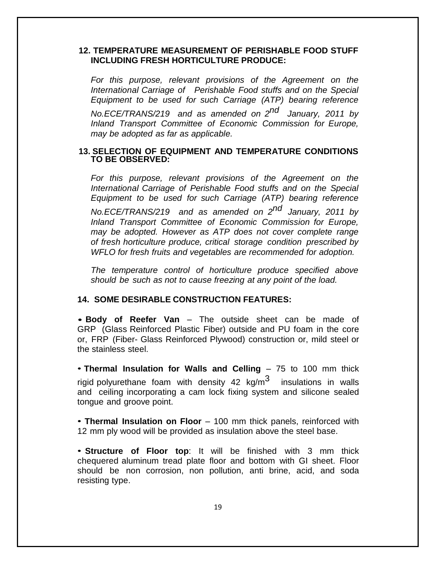### **12. TEMPERATURE MEASUREMENT OF PERISHABLE FOOD STUFF INCLUDING FRESH HORTICULTURE PRODUCE:**

*For this purpose, relevant provisions of the Agreement on the International Carriage of Perishable Food stuffs and on the Special Equipment to be used for such Carriage (ATP) bearing reference No.ECE/TRANS/219 and as amended on 2 nd January, 2011 by Inland Transport Committee of Economic Commission for Europe, may be adopted as far as applicable.*

#### **13. SELECTION OF EQUIPMENT AND TEMPERATURE CONDITIONS TO BE OBSERVED:**

*For this purpose, relevant provisions of the Agreement on the International Carriage of Perishable Food stuffs and on the Special Equipment to be used for such Carriage (ATP) bearing reference No.ECE/TRANS/219 and as amended on 2 nd January, 2011 by Inland Transport Committee of Economic Commission for Europe, may be adopted. However as ATP does not cover complete range of fresh horticulture produce, critical storage condition prescribed by WFLO for fresh fruits and vegetables are recommended for adoption.*

*The temperature control of horticulture produce specified above should be such as not to cause freezing at any point of the load.*

#### **14. SOME DESIRABLE CONSTRUCTION FEATURES:**

• **Body of Reefer Van** – The outside sheet can be made of GRP (Glass Reinforced Plastic Fiber) outside and PU foam in the core or, FRP (Fiber- Glass Reinforced Plywood) construction or, mild steel or the stainless steel.

• **Thermal Insulation for Walls and Celling** – 75 to 100 mm thick rigid polyurethane foam with density 42 kg/m $^3$  insulations in walls and ceiling incorporating a cam lock fixing system and silicone sealed tongue and groove point.

• **Thermal Insulation on Floor** – 100 mm thick panels, reinforced with 12 mm ply wood will be provided as insulation above the steel base.

• **Structure of Floor top**: It will be finished with 3 mm thick chequered aluminum tread plate floor and bottom with GI sheet. Floor should be non corrosion, non pollution, anti brine, acid, and soda resisting type.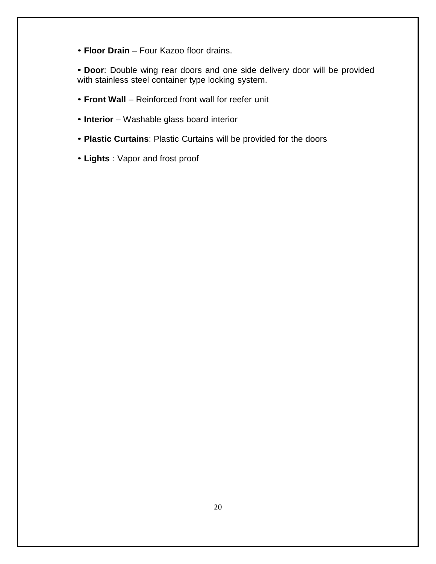• **Floor Drain** – Four Kazoo floor drains.

• **Door**: Double wing rear doors and one side delivery door will be provided with stainless steel container type locking system.

- **Front Wall** Reinforced front wall for reefer unit
- **Interior** Washable glass board interior
- **Plastic Curtains**: Plastic Curtains will be provided for the doors
- **Lights** : Vapor and frost proof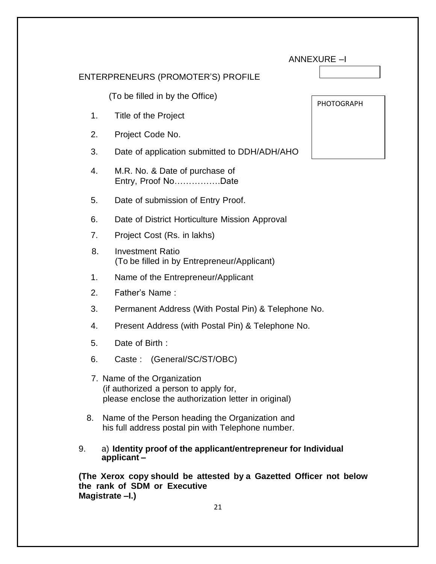| <b>ANNEXURE-I</b> |  |
|-------------------|--|
|-------------------|--|

### ENTERPRENEURS (PROMOTER'S) PROFILE

(To be filled in by the Office)

- 1. Title of the Project
- 2. Project Code No.
- 3. Date of application submitted to DDH/ADH/AHO
- 4. M.R. No. & Date of purchase of Entry, Proof No…………….Date
- 5. Date of submission of Entry Proof.
- 6. Date of District Horticulture Mission Approval
- 7. Project Cost (Rs. in lakhs)
- 8. Investment Ratio (To be filled in by Entrepreneur/Applicant)
- 1. Name of the Entrepreneur/Applicant
- 2. Father's Name :
- 3. Permanent Address (With Postal Pin) & Telephone No.
- 4. Present Address (with Postal Pin) & Telephone No.
- 5. Date of Birth :
- 6. Caste : (General/SC/ST/OBC)
- 7. Name of the Organization (if authorized a person to apply for, please enclose the authorization letter in original)
- 8. Name of the Person heading the Organization and his full address postal pin with Telephone number.
- 9. a) **Identity proof of the applicant/entrepreneur for Individual applicant –**

**(The Xerox copy should be attested by a Gazetted Officer not below the rank of SDM or Executive Magistrate –I.)**

| PHOTOGRAPH |  |
|------------|--|
|            |  |
|            |  |
|            |  |
|            |  |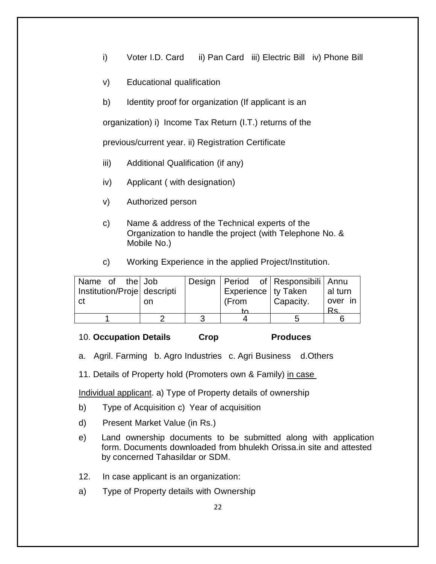- i) Voter I.D. Card ii) Pan Card iii) Electric Bill iv) Phone Bill
- v) Educational qualification
- b) Identity proof for organization (If applicant is an

organization) i) Income Tax Return (I.T.) returns of the

previous/current year. ii) Registration Certificate

- iii) Additional Qualification (if any)
- iv) Applicant ( with designation)
- v) Authorized person
- c) Name & address of the Technical experts of the Organization to handle the project (with Telephone No. & Mobile No.)
- c) Working Experience in the applied Project/Institution.

| Name of the Job             |    |                       | Design   Period of   Responsibili   Annu |         |
|-----------------------------|----|-----------------------|------------------------------------------|---------|
| Institution/Proje descripti |    | Experience   ty Taken |                                          | al turn |
| l ct                        | on | (From                 | Capacity.                                | over in |
|                             |    |                       |                                          | Rs.     |
|                             |    |                       |                                          |         |

#### 10. **Occupation Details Crop Produces**

- a. Agril. Farming b. Agro Industries c. Agri Business d.Others
- 11. Details of Property hold (Promoters own & Family) in case

Individual applicant. a) Type of Property details of ownership

- b) Type of Acquisition c) Year of acquisition
- d) Present Market Value (in Rs.)
- e) Land ownership documents to be submitted along with application form. Documents downloaded from bhulekh Orissa.in site and attested by concerned Tahasildar or SDM.
- 12. In case applicant is an organization:
- a) Type of Property details with Ownership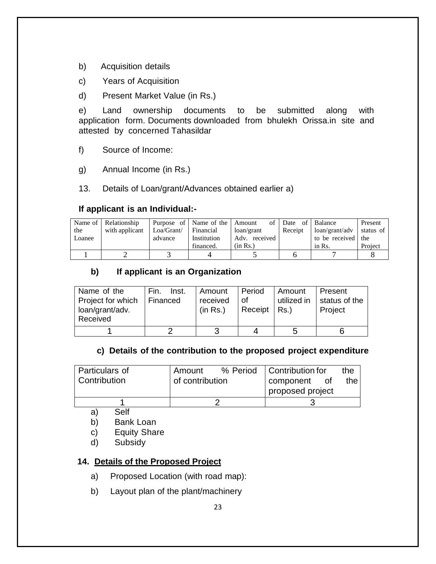- b) Acquisition details
- c) Years of Acquisition
- d) Present Market Value (in Rs.)

e) Land ownership documents to be submitted along with application form. Documents downloaded from bhulekh Orissa.in site and attested by concerned Tahasildar

- f) Source of Income:
- g) Annual Income (in Rs.)
- 13. Details of Loan/grant/Advances obtained earlier a)

### **If applicant is an Individual:-**

| the    | Name of Relationship<br>with applicant | Loa/Grant/ | Purpose of   Name of the   Amount<br>  Financial | loan/grant                | of Date<br>Receipt | of Balance<br>loan/grant/adv | Present<br>status of |
|--------|----------------------------------------|------------|--------------------------------------------------|---------------------------|--------------------|------------------------------|----------------------|
| Loanee |                                        | advance    | Institution<br>financed.                         | Adv. received<br>(in Rs.) |                    | to be received the<br>in Rs. | Project              |
|        |                                        |            |                                                  |                           |                    |                              |                      |

## **b) If applicant is an Organization**

| Name of the<br>Project for which<br>loan/grant/adv.<br>Received | Fin.<br>Inst.<br>Financed | Amount<br>received<br>(in Rs.) | Period<br>of.<br>Receipt $ $ Rs.) | Amount<br>utilized in | Present<br>status of the<br>Project |
|-----------------------------------------------------------------|---------------------------|--------------------------------|-----------------------------------|-----------------------|-------------------------------------|
|                                                                 |                           |                                |                                   | 5                     |                                     |

### **c) Details of the contribution to the proposed project expenditure**

| Particulars of | Amount                       |  | % Period   Contribution for |       | the. |
|----------------|------------------------------|--|-----------------------------|-------|------|
| Contribution   | of contribution<br>component |  | Οf                          | the I |      |
|                |                              |  | proposed project            |       |      |
|                |                              |  |                             |       |      |

- a) Self
- b) Bank Loan
- c) Equity Share
- d) Subsidy

## **14. Details of the Proposed Project**

- a) Proposed Location (with road map):
- b) Layout plan of the plant/machinery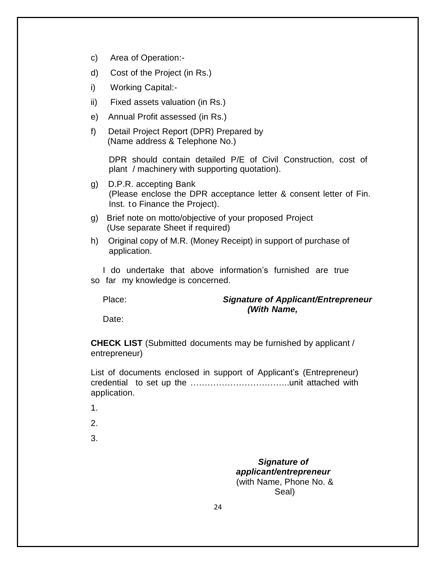- c) Area of Operation:-
- d) Cost of the Project (in Rs.)
- i) Working Capital:-
- ii) Fixed assets valuation (in Rs.)
- e) Annual Profit assessed (in Rs.)
- f) Detail Project Report (DPR) Prepared by (Name address & Telephone No.)

DPR should contain detailed P/E of Civil Construction, cost of plant / machinery with supporting quotation).

- g) D.P.R. accepting Bank (Please enclose the DPR acceptance letter & consent letter of Fin. Inst. to Finance the Project).
- g) Brief note on motto/objective of your proposed Project (Use separate Sheet if required)
- h) Original copy of M.R. (Money Receipt) in support of purchase of application.

I do undertake that above information's furnished are true so far my knowledge is concerned.

### Place: *Signature of Applicant/Entrepreneur (With Name,*

Date:

**CHECK LIST** (Submitted documents may be furnished by applicant / entrepreneur)

List of documents enclosed in support of Applicant's (Entrepreneur) credential to set up the ……………………………..unit attached with application.

- 1.
- 2.

3.

*Signature of applicant/entrepreneur* (with Name, Phone No. & Seal)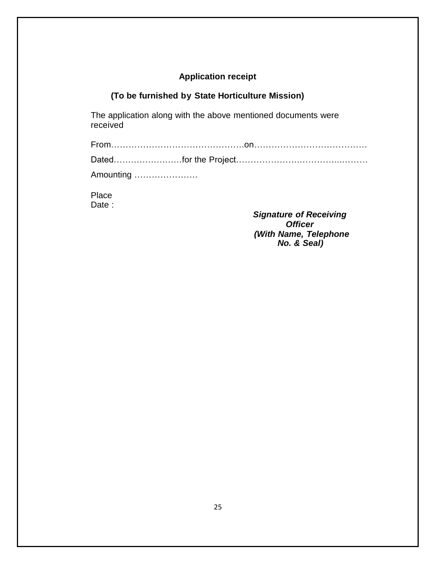## **Application receipt**

## **(To be furnished by State Horticulture Mission)**

The application along with the above mentioned documents were received

| Amounting |  |
|-----------|--|

Place Date:

> *Signature of Receiving Officer (With Name, Telephone No. & Seal)*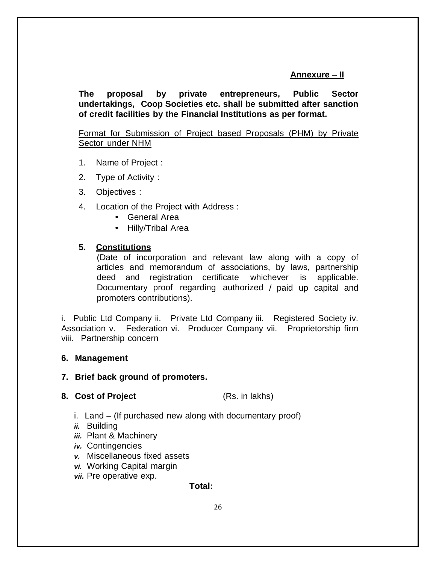### **Annexure – II**

**The proposal by private entrepreneurs, Public Sector undertakings, Coop Societies etc. shall be submitted after sanction of credit facilities by the Financial Institutions as per format.**

### Format for Submission of Project based Proposals (PHM) by Private Sector under NHM

- 1. Name of Project :
- 2. Type of Activity :
- 3. Objectives :
- 4. Location of the Project with Address :
	- General Area
	- Hilly/Tribal Area

### **5. Constitutions**

(Date of incorporation and relevant law along with a copy of articles and memorandum of associations, by laws, partnership deed and registration certificate whichever is applicable. Documentary proof regarding authorized / paid up capital and promoters contributions).

i. Public Ltd Company ii. Private Ltd Company iii. Registered Society iv. Association v. Federation vi. Producer Company vii. Proprietorship firm viii. Partnership concern

#### **6. Management**

#### **7. Brief back ground of promoters.**

#### **8. Cost of Project** (Rs. in lakhs)

- i. Land (If purchased new along with documentary proof)
- *ii.* Building
- *iii.* Plant & Machinery
- *iv.* Contingencies
- *v.* Miscellaneous fixed assets
- *vi.* Working Capital margin
- *vii.* Pre operative exp.

#### **Total:**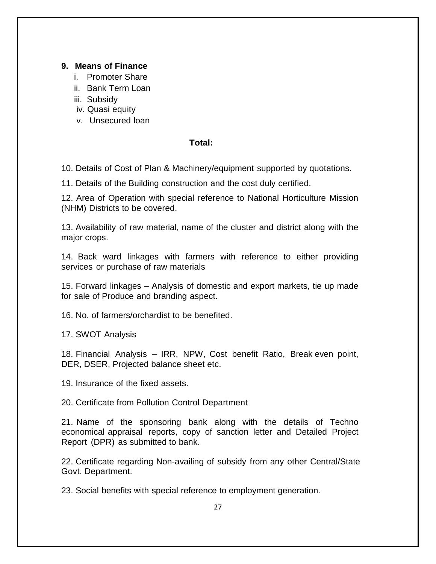### **9. Means of Finance**

- i. Promoter Share
- ii. Bank Term Loan
- iii. Subsidy
- iv. Quasi equity
- v. Unsecured loan

### **Total:**

10. Details of Cost of Plan & Machinery/equipment supported by quotations.

11. Details of the Building construction and the cost duly certified.

12. Area of Operation with special reference to National Horticulture Mission (NHM) Districts to be covered.

13. Availability of raw material, name of the cluster and district along with the major crops.

14. Back ward linkages with farmers with reference to either providing services or purchase of raw materials

15. Forward linkages – Analysis of domestic and export markets, tie up made for sale of Produce and branding aspect.

16. No. of farmers/orchardist to be benefited.

17. SWOT Analysis

18. Financial Analysis – IRR, NPW, Cost benefit Ratio, Break even point, DER, DSER, Projected balance sheet etc.

19. Insurance of the fixed assets.

20. Certificate from Pollution Control Department

21. Name of the sponsoring bank along with the details of Techno economical appraisal reports, copy of sanction letter and Detailed Project Report (DPR) as submitted to bank.

22. Certificate regarding Non-availing of subsidy from any other Central/State Govt. Department.

23. Social benefits with special reference to employment generation.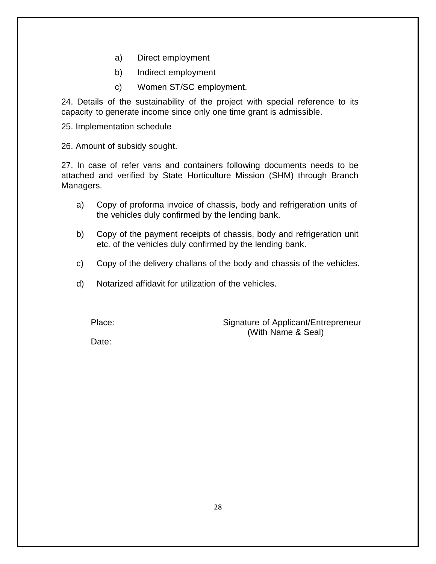- a) Direct employment
- b) Indirect employment
- c) Women ST/SC employment.

24. Details of the sustainability of the project with special reference to its capacity to generate income since only one time grant is admissible.

25. Implementation schedule

26. Amount of subsidy sought.

27. In case of refer vans and containers following documents needs to be attached and verified by State Horticulture Mission (SHM) through Branch Managers.

- a) Copy of proforma invoice of chassis, body and refrigeration units of the vehicles duly confirmed by the lending bank.
- b) Copy of the payment receipts of chassis, body and refrigeration unit etc. of the vehicles duly confirmed by the lending bank.
- c) Copy of the delivery challans of the body and chassis of the vehicles.
- d) Notarized affidavit for utilization of the vehicles.

Place: Signature of Applicant/Entrepreneur (With Name & Seal)

Date: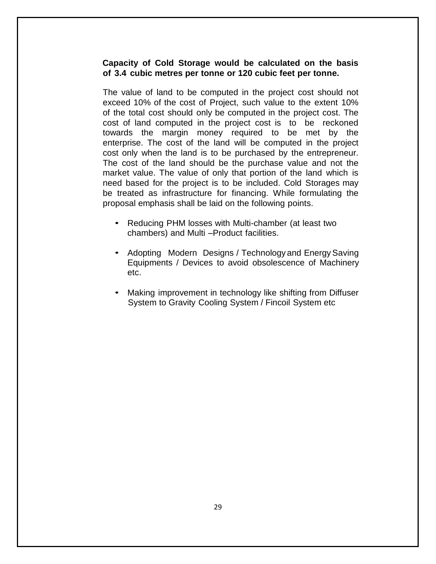### **Capacity of Cold Storage would be calculated on the basis of 3.4 cubic metres per tonne or 120 cubic feet per tonne.**

The value of land to be computed in the project cost should not exceed 10% of the cost of Project, such value to the extent 10% of the total cost should only be computed in the project cost. The cost of land computed in the project cost is to be reckoned towards the margin money required to be met by the enterprise. The cost of the land will be computed in the project cost only when the land is to be purchased by the entrepreneur. The cost of the land should be the purchase value and not the market value. The value of only that portion of the land which is need based for the project is to be included. Cold Storages may be treated as infrastructure for financing. While formulating the proposal emphasis shall be laid on the following points.

- Reducing PHM losses with Multi-chamber (at least two chambers) and Multi –Product facilities.
- Adopting Modern Designs / Technology and Energy Saving Equipments / Devices to avoid obsolescence of Machinery etc.
- Making improvement in technology like shifting from Diffuser System to Gravity Cooling System / Fincoil System etc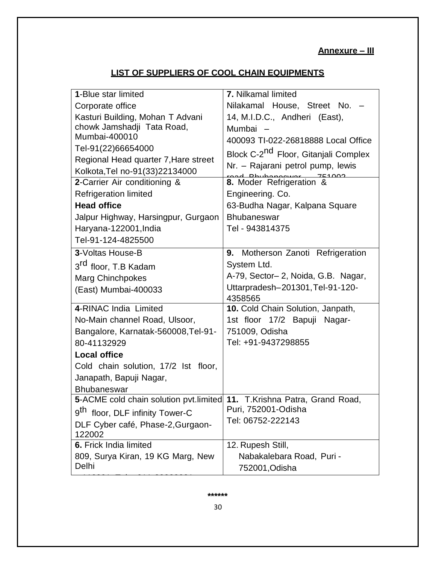## **Annexure – III**

## **LIST OF SUPPLIERS OF COOL CHAIN EQUIPMENTS**

| Nilakamal House, Street No. -<br>Corporate office<br>14, M.I.D.C., Andheri (East),<br>Kasturi Building, Mohan T Advani<br>chowk Jamshadji Tata Road,<br>Mumbai -<br>Mumbai-400010<br>400093 TI-022-26818888 Local Office<br>Tel-91(22)66654000<br>Block C-2 <sup>nd</sup> Floor, Gitanjali Complex<br>Regional Head quarter 7, Hare street<br>Nr. - Rajarani petrol pump, lewis<br>Kolkota, Tel no-91(33) 22134000<br>8. Moder Refrigeration &<br>2-Carrier Air conditioning & |
|--------------------------------------------------------------------------------------------------------------------------------------------------------------------------------------------------------------------------------------------------------------------------------------------------------------------------------------------------------------------------------------------------------------------------------------------------------------------------------|
|                                                                                                                                                                                                                                                                                                                                                                                                                                                                                |
|                                                                                                                                                                                                                                                                                                                                                                                                                                                                                |
|                                                                                                                                                                                                                                                                                                                                                                                                                                                                                |
|                                                                                                                                                                                                                                                                                                                                                                                                                                                                                |
|                                                                                                                                                                                                                                                                                                                                                                                                                                                                                |
|                                                                                                                                                                                                                                                                                                                                                                                                                                                                                |
|                                                                                                                                                                                                                                                                                                                                                                                                                                                                                |
|                                                                                                                                                                                                                                                                                                                                                                                                                                                                                |
| <b>Refrigeration limited</b><br>Engineering. Co.                                                                                                                                                                                                                                                                                                                                                                                                                               |
| <b>Head office</b><br>63-Budha Nagar, Kalpana Square                                                                                                                                                                                                                                                                                                                                                                                                                           |
| Jalpur Highway, Harsingpur, Gurgaon<br><b>Bhubaneswar</b>                                                                                                                                                                                                                                                                                                                                                                                                                      |
| Haryana-122001, India<br>Tel - 943814375                                                                                                                                                                                                                                                                                                                                                                                                                                       |
| Tel-91-124-4825500                                                                                                                                                                                                                                                                                                                                                                                                                                                             |
| 3-Voltas House-B<br>9. Motherson Zanoti Refrigeration                                                                                                                                                                                                                                                                                                                                                                                                                          |
| System Ltd.<br>3 <sup>rd</sup> floor, T.B Kadam                                                                                                                                                                                                                                                                                                                                                                                                                                |
| A-79, Sector-2, Noida, G.B. Nagar,<br><b>Marg Chinchpokes</b>                                                                                                                                                                                                                                                                                                                                                                                                                  |
| Uttarpradesh-201301, Tel-91-120-<br>(East) Mumbai-400033<br>4358565                                                                                                                                                                                                                                                                                                                                                                                                            |
| 4-RINAC India Limited<br>10. Cold Chain Solution, Janpath,                                                                                                                                                                                                                                                                                                                                                                                                                     |
| No-Main channel Road, Ulsoor,<br>1st floor 17/2 Bapuji Nagar-                                                                                                                                                                                                                                                                                                                                                                                                                  |
| Bangalore, Karnatak-560008, Tel-91-<br>751009, Odisha                                                                                                                                                                                                                                                                                                                                                                                                                          |
| Tel: +91-9437298855<br>80-41132929                                                                                                                                                                                                                                                                                                                                                                                                                                             |
| <b>Local office</b>                                                                                                                                                                                                                                                                                                                                                                                                                                                            |
| Cold chain solution, 17/2 lst floor,                                                                                                                                                                                                                                                                                                                                                                                                                                           |
| Janapath, Bapuji Nagar,                                                                                                                                                                                                                                                                                                                                                                                                                                                        |
| <b>Bhubaneswar</b>                                                                                                                                                                                                                                                                                                                                                                                                                                                             |
| 5-ACME cold chain solution pvt.limited 11. T.Krishna Patra, Grand Road,                                                                                                                                                                                                                                                                                                                                                                                                        |
| Puri, 752001-Odisha<br>g <sup>tn</sup><br>floor, DLF infinity Tower-C                                                                                                                                                                                                                                                                                                                                                                                                          |
| Tel: 06752-222143<br>DLF Cyber café, Phase-2, Gurgaon-                                                                                                                                                                                                                                                                                                                                                                                                                         |
| 122002                                                                                                                                                                                                                                                                                                                                                                                                                                                                         |
| 6. Frick India limited<br>12. Rupesh Still,                                                                                                                                                                                                                                                                                                                                                                                                                                    |
| 809, Surya Kiran, 19 KG Marg, New<br>Nabakalebara Road, Puri -                                                                                                                                                                                                                                                                                                                                                                                                                 |
| Delhi<br>752001, Odisha                                                                                                                                                                                                                                                                                                                                                                                                                                                        |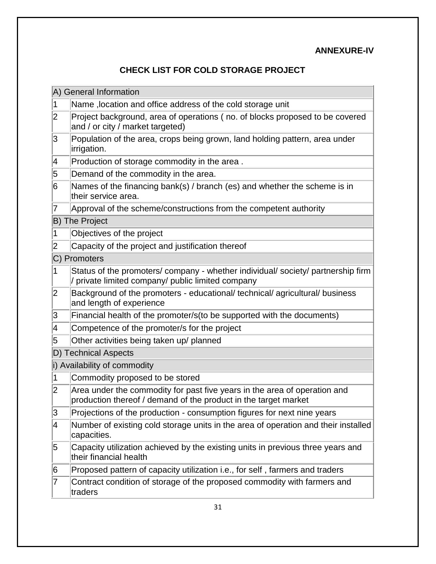## **ANNEXURE-IV**

## **CHECK LIST FOR COLD STORAGE PROJECT**

|                         | A) General Information                                                                                                                       |
|-------------------------|----------------------------------------------------------------------------------------------------------------------------------------------|
| 1                       | Name, location and office address of the cold storage unit                                                                                   |
| $\overline{\mathbf{2}}$ | Project background, area of operations (no. of blocks proposed to be covered<br>and / or city / market targeted)                             |
| 3                       | Population of the area, crops being grown, land holding pattern, area under<br>irrigation.                                                   |
| 4                       | Production of storage commodity in the area.                                                                                                 |
| 5                       | Demand of the commodity in the area.                                                                                                         |
| 6                       | Names of the financing bank(s) / branch (es) and whether the scheme is in<br>their service area.                                             |
| 7                       | Approval of the scheme/constructions from the competent authority                                                                            |
|                         | <b>B</b> ) The Project                                                                                                                       |
| 1                       | Objectives of the project                                                                                                                    |
| 2                       | Capacity of the project and justification thereof                                                                                            |
|                         | C) Promoters                                                                                                                                 |
| 1                       | Status of the promoters/company - whether individual/society/partnership firm<br>/ private limited company/ public limited company           |
| 2                       | Background of the promoters - educational/ technical/ agricultural/ business<br>and length of experience                                     |
| 3                       | Financial health of the promoter/s(to be supported with the documents)                                                                       |
| 4                       | Competence of the promoter/s for the project                                                                                                 |
| 5                       | Other activities being taken up/ planned                                                                                                     |
|                         | D) Technical Aspects                                                                                                                         |
|                         | i) Availability of commodity                                                                                                                 |
| 1                       | Commodity proposed to be stored                                                                                                              |
| 2                       | Area under the commodity for past five years in the area of operation and<br>production thereof / demand of the product in the target market |
| 3                       | Projections of the production - consumption figures for next nine years                                                                      |
| 4                       | Number of existing cold storage units in the area of operation and their installed<br>capacities.                                            |
| 5                       | Capacity utilization achieved by the existing units in previous three years and<br>their financial health                                    |
| 6                       | Proposed pattern of capacity utilization i.e., for self, farmers and traders                                                                 |
| 7                       | Contract condition of storage of the proposed commodity with farmers and<br>traders                                                          |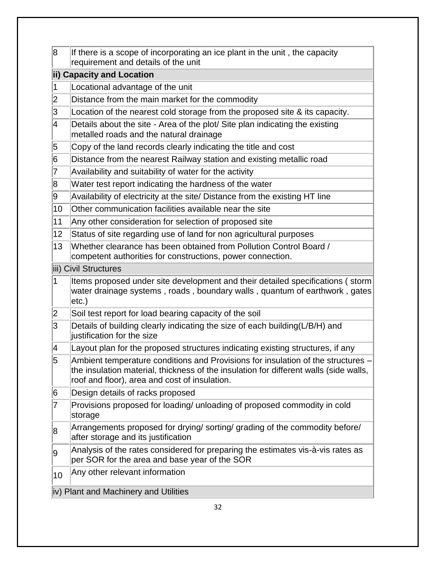| 8      | If there is a scope of incorporating an ice plant in the unit, the capacity<br>requirement and details of the unit                                                                                                         |
|--------|----------------------------------------------------------------------------------------------------------------------------------------------------------------------------------------------------------------------------|
|        | ii) Capacity and Location                                                                                                                                                                                                  |
|        | Locational advantage of the unit                                                                                                                                                                                           |
| $ 2\>$ | Distance from the main market for the commodity                                                                                                                                                                            |
| 3      | Location of the nearest cold storage from the proposed site & its capacity.                                                                                                                                                |
| 4      | Details about the site - Area of the plot/ Site plan indicating the existing<br>metalled roads and the natural drainage                                                                                                    |
| 5      | Copy of the land records clearly indicating the title and cost                                                                                                                                                             |
| 6      | Distance from the nearest Railway station and existing metallic road                                                                                                                                                       |
| 7      | Availability and suitability of water for the activity                                                                                                                                                                     |
| 8      | Water test report indicating the hardness of the water                                                                                                                                                                     |
| 9      | Availability of electricity at the site/ Distance from the existing HT line                                                                                                                                                |
| 10     | Other communication facilities available near the site                                                                                                                                                                     |
| 11     | Any other consideration for selection of proposed site                                                                                                                                                                     |
| 12     | Status of site regarding use of land for non agricultural purposes                                                                                                                                                         |
| 13     | Whether clearance has been obtained from Pollution Control Board /<br>competent authorities for constructions, power connection.                                                                                           |
|        | iii) Civil Structures                                                                                                                                                                                                      |
| 1      | Items proposed under site development and their detailed specifications (storm<br>water drainage systems, roads, boundary walls, quantum of earthwork, gates<br>etc.)                                                      |
| 2      | Soil test report for load bearing capacity of the soil                                                                                                                                                                     |
| 3      | Details of building clearly indicating the size of each building(L/B/H) and<br>justification for the size                                                                                                                  |
| 4      | Layout plan for the proposed structures indicating existing structures, if any                                                                                                                                             |
| 5      | Ambient temperature conditions and Provisions for insulation of the structures -<br>the insulation material, thickness of the insulation for different walls (side walls,<br>roof and floor), area and cost of insulation. |
| 6      | Design details of racks proposed                                                                                                                                                                                           |
| 7      | Provisions proposed for loading/ unloading of proposed commodity in cold<br>storage                                                                                                                                        |
| 8      | Arrangements proposed for drying/ sorting/ grading of the commodity before/<br>after storage and its justification                                                                                                         |
| 9      | Analysis of the rates considered for preparing the estimates vis-à-vis rates as<br>per SOR for the area and base year of the SOR                                                                                           |
| 10     | Any other relevant information                                                                                                                                                                                             |
|        | iv) Plant and Machinery and Utilities                                                                                                                                                                                      |
|        |                                                                                                                                                                                                                            |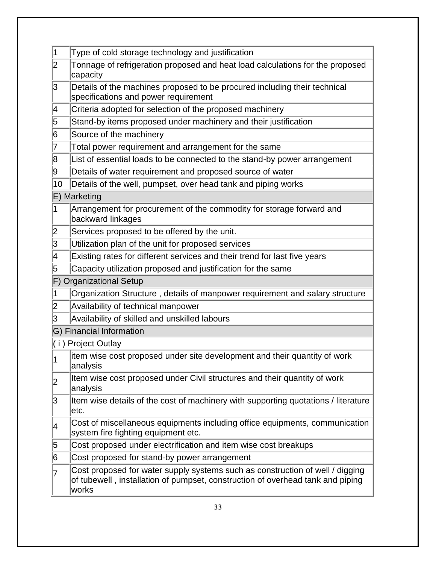| 1                       | Type of cold storage technology and justification                                                                                                                        |  |  |  |  |  |  |
|-------------------------|--------------------------------------------------------------------------------------------------------------------------------------------------------------------------|--|--|--|--|--|--|
| $\overline{\mathbf{2}}$ | Tonnage of refrigeration proposed and heat load calculations for the proposed<br>capacity                                                                                |  |  |  |  |  |  |
| 3                       | Details of the machines proposed to be procured including their technical<br>specifications and power requirement                                                        |  |  |  |  |  |  |
| 4                       | Criteria adopted for selection of the proposed machinery                                                                                                                 |  |  |  |  |  |  |
| 5                       | Stand-by items proposed under machinery and their justification                                                                                                          |  |  |  |  |  |  |
| 6                       | Source of the machinery                                                                                                                                                  |  |  |  |  |  |  |
| 7                       | Total power requirement and arrangement for the same                                                                                                                     |  |  |  |  |  |  |
| 8                       | List of essential loads to be connected to the stand-by power arrangement                                                                                                |  |  |  |  |  |  |
| 9                       | Details of water requirement and proposed source of water                                                                                                                |  |  |  |  |  |  |
| 10                      | Details of the well, pumpset, over head tank and piping works                                                                                                            |  |  |  |  |  |  |
|                         | E) Marketing                                                                                                                                                             |  |  |  |  |  |  |
| 1                       | Arrangement for procurement of the commodity for storage forward and<br>backward linkages                                                                                |  |  |  |  |  |  |
| 2                       | Services proposed to be offered by the unit.                                                                                                                             |  |  |  |  |  |  |
| 3                       | Utilization plan of the unit for proposed services                                                                                                                       |  |  |  |  |  |  |
| 4                       | Existing rates for different services and their trend for last five years                                                                                                |  |  |  |  |  |  |
| 5                       | Capacity utilization proposed and justification for the same                                                                                                             |  |  |  |  |  |  |
|                         | F) Organizational Setup                                                                                                                                                  |  |  |  |  |  |  |
| 1                       | Organization Structure, details of manpower requirement and salary structure                                                                                             |  |  |  |  |  |  |
| 2                       | Availability of technical manpower                                                                                                                                       |  |  |  |  |  |  |
| 3                       | Availability of skilled and unskilled labours                                                                                                                            |  |  |  |  |  |  |
|                         | G) Financial Information                                                                                                                                                 |  |  |  |  |  |  |
|                         | (i) Project Outlay                                                                                                                                                       |  |  |  |  |  |  |
|                         | item wise cost proposed under site development and their quantity of work<br>analysis                                                                                    |  |  |  |  |  |  |
| 2                       | Item wise cost proposed under Civil structures and their quantity of work<br>analysis                                                                                    |  |  |  |  |  |  |
| 3                       | Item wise details of the cost of machinery with supporting quotations / literature<br>letc.                                                                              |  |  |  |  |  |  |
| 4                       | Cost of miscellaneous equipments including office equipments, communication<br>system fire fighting equipment etc.                                                       |  |  |  |  |  |  |
| 5                       | Cost proposed under electrification and item wise cost breakups                                                                                                          |  |  |  |  |  |  |
| 6                       | Cost proposed for stand-by power arrangement                                                                                                                             |  |  |  |  |  |  |
| 7                       | Cost proposed for water supply systems such as construction of well / digging<br>of tubewell, installation of pumpset, construction of overhead tank and piping<br>works |  |  |  |  |  |  |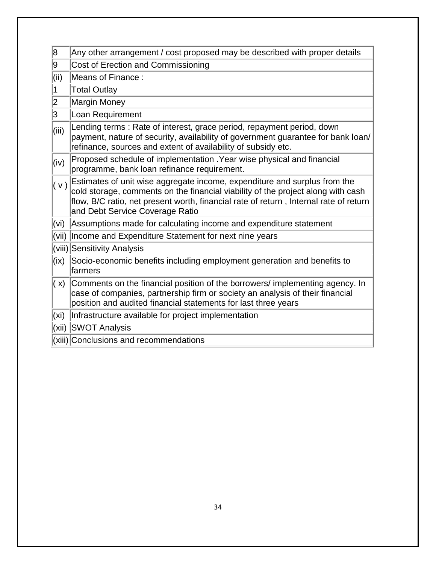| 8                         | Any other arrangement / cost proposed may be described with proper details                                                                                                                                                                                                                |
|---------------------------|-------------------------------------------------------------------------------------------------------------------------------------------------------------------------------------------------------------------------------------------------------------------------------------------|
| 9                         | Cost of Erection and Commissioning                                                                                                                                                                                                                                                        |
| $\vert$ (ii)              | Means of Finance:                                                                                                                                                                                                                                                                         |
| $\vert$ 1                 | <b>Total Outlay</b>                                                                                                                                                                                                                                                                       |
| 2                         | Margin Money                                                                                                                                                                                                                                                                              |
| $\overline{\mathsf{3}}$   | Loan Requirement                                                                                                                                                                                                                                                                          |
| (iii)                     | Lending terms: Rate of interest, grace period, repayment period, down<br>payment, nature of security, availability of government guarantee for bank loan/<br>refinance, sources and extent of availability of subsidy etc.                                                                |
| (iv)                      | Proposed schedule of implementation . Year wise physical and financial<br>programme, bank loan refinance requirement.                                                                                                                                                                     |
| (v)                       | Estimates of unit wise aggregate income, expenditure and surplus from the<br>cold storage, comments on the financial viability of the project along with cash<br>flow, B/C ratio, net present worth, financial rate of return, Internal rate of return<br>and Debt Service Coverage Ratio |
| $\overline{v}$ (vi)       | Assumptions made for calculating income and expenditure statement                                                                                                                                                                                                                         |
| $\mathsf{(vii)}$          | Income and Expenditure Statement for next nine years                                                                                                                                                                                                                                      |
|                           | (viii) Sensitivity Analysis                                                                                                                                                                                                                                                               |
| $\mathsf{l}(\mathsf{ix})$ | Socio-economic benefits including employment generation and benefits to<br>lfarmers                                                                                                                                                                                                       |
| (x)                       | Comments on the financial position of the borrowers/ implementing agency. In<br>case of companies, partnership firm or society an analysis of their financial<br>position and audited financial statements for last three years                                                           |
| $\mathsf{\mathsf{(xi)}}$  | Infrastructure available for project implementation                                                                                                                                                                                                                                       |
| (xii)                     | <b>SWOT Analysis</b>                                                                                                                                                                                                                                                                      |
|                           | (xiii) Conclusions and recommendations                                                                                                                                                                                                                                                    |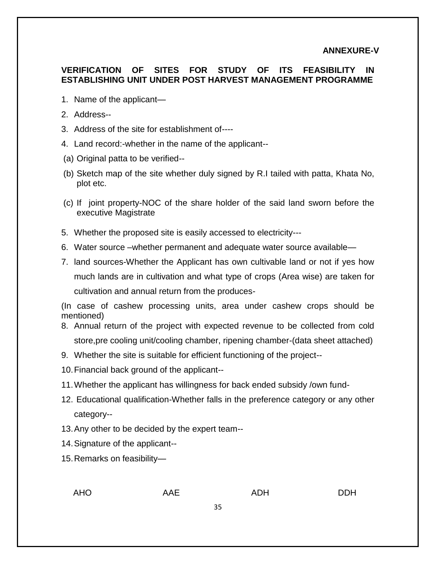### **ANNEXURE-V**

### **VERIFICATION OF SITES FOR STUDY OF ITS FEASIBILITY IN ESTABLISHING UNIT UNDER POST HARVEST MANAGEMENT PROGRAMME**

- 1. Name of the applicant—
- 2. Address--
- 3. Address of the site for establishment of----
- 4. Land record:-whether in the name of the applicant--
- (a) Original patta to be verified--
- (b) Sketch map of the site whether duly signed by R.I tailed with patta, Khata No, plot etc.
- (c) If joint property-NOC of the share holder of the said land sworn before the executive Magistrate
- 5. Whether the proposed site is easily accessed to electricity---
- 6. Water source –whether permanent and adequate water source available—
- 7. land sources-Whether the Applicant has own cultivable land or not if yes how much lands are in cultivation and what type of crops (Area wise) are taken for cultivation and annual return from the produces-

(In case of cashew processing units, area under cashew crops should be mentioned)

- 8. Annual return of the project with expected revenue to be collected from cold store,pre cooling unit/cooling chamber, ripening chamber-(data sheet attached)
- 9. Whether the site is suitable for efficient functioning of the project--
- 10.Financial back ground of the applicant--
- 11.Whether the applicant has willingness for back ended subsidy /own fund-
- 12. Educational qualification-Whether falls in the preference category or any other category--
- 13.Any other to be decided by the expert team--
- 14.Signature of the applicant--
- 15.Remarks on feasibility—

AHO AAE ADH DDH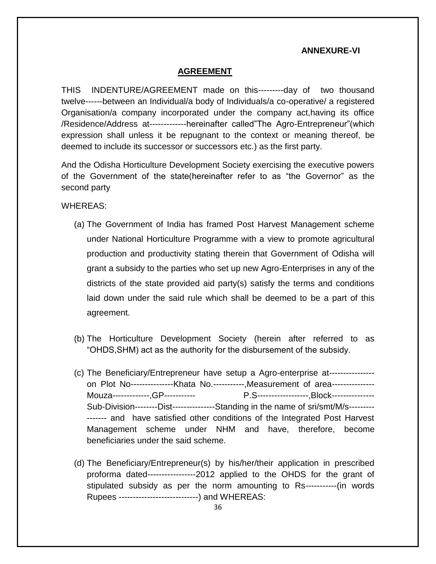### **ANNEXURE-VI**

#### **AGREEMENT**

THIS INDENTURE/AGREEMENT made on this---------day of two thousand twelve------between an Individual/a body of Individuals/a co-operative/ a registered Organisation/a company incorporated under the company act,having its office /Residence/Address at-------------hereinafter called"The Agro-Entrepreneur"(which expression shall unless it be repugnant to the context or meaning thereof, be deemed to include its successor or successors etc.) as the first party.

And the Odisha Horticulture Development Society exercising the executive powers of the Government of the state(hereinafter refer to as "the Governor" as the second party

WHEREAS:

- (a) The Government of India has framed Post Harvest Management scheme under National Horticulture Programme with a view to promote agricultural production and productivity stating therein that Government of Odisha will grant a subsidy to the parties who set up new Agro-Enterprises in any of the districts of the state provided aid party(s) satisfy the terms and conditions laid down under the said rule which shall be deemed to be a part of this agreement.
- (b) The Horticulture Development Society (herein after referred to as "OHDS,SHM) act as the authority for the disbursement of the subsidy.
- (c) The Beneficiary/Entrepreneur have setup a Agro-enterprise at--------------- on Plot No---------------Khata No.-----------,Measurement of area--------------- Mouza-------------,GP----------- P.S------------------,Block--------------- Sub-Division--------Dist---------------Standing in the name of sri/smt/M/s--------- ------- and have satisfied other conditions of the Integrated Post Harvest Management scheme under NHM and have, therefore, become beneficiaries under the said scheme.
- (d) The Beneficiary/Entrepreneur(s) by his/her/their application in prescribed proforma dated-----------------2012 applied to the OHDS for the grant of stipulated subsidy as per the norm amounting to Rs-----------(in words Rupees ----------------------------) and WHEREAS: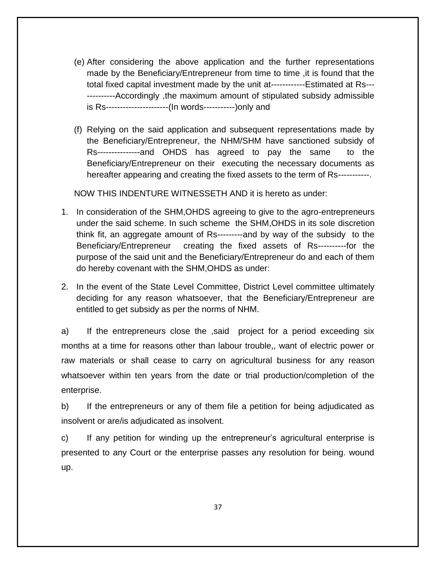- (e) After considering the above application and the further representations made by the Beneficiary/Entrepreneur from time to time ,it is found that the total fixed capital investment made by the unit at------------Estimated at Rs--- ----------Accordingly ,the maximum amount of stipulated subsidy admissible is Rs----------------------(In words-----------)only and
- (f) Relying on the said application and subsequent representations made by the Beneficiary/Entrepreneur, the NHM/SHM have sanctioned subsidy of Rs---------------and OHDS has agreed to pay the same to the Beneficiary/Entrepreneur on their executing the necessary documents as hereafter appearing and creating the fixed assets to the term of Rs-----------.

NOW THIS INDENTURE WITNESSETH AND it is hereto as under:

- 1. In consideration of the SHM,OHDS agreeing to give to the agro-entrepreneurs under the said scheme. In such scheme the SHM,OHDS in its sole discretion think fit, an aggregate amount of Rs---------and by way of the subsidy to the Beneficiary/Entrepreneur creating the fixed assets of Rs----------for the purpose of the said unit and the Beneficiary/Entrepreneur do and each of them do hereby covenant with the SHM,OHDS as under:
- 2. In the event of the State Level Committee, District Level committee ultimately deciding for any reason whatsoever, that the Beneficiary/Entrepreneur are entitled to get subsidy as per the norms of NHM.

a) If the entrepreneurs close the ,said project for a period exceeding six months at a time for reasons other than labour trouble,, want of electric power or raw materials or shall cease to carry on agricultural business for any reason whatsoever within ten years from the date or trial production/completion of the enterprise.

b) If the entrepreneurs or any of them file a petition for being adjudicated as insolvent or are/is adjudicated as insolvent.

c) If any petition for winding up the entrepreneur's agricultural enterprise is presented to any Court or the enterprise passes any resolution for being. wound up.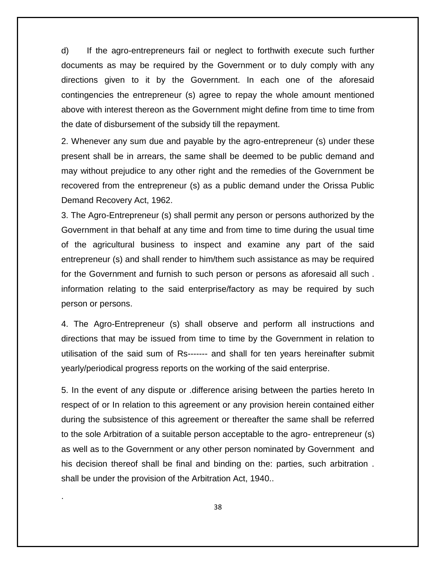d) If the agro-entrepreneurs fail or neglect to forthwith execute such further documents as may be required by the Government or to duly comply with any directions given to it by the Government. In each one of the aforesaid contingencies the entrepreneur (s) agree to repay the whole amount mentioned above with interest thereon as the Government might define from time to time from the date of disbursement of the subsidy till the repayment.

2. Whenever any sum due and payable by the agro-entrepreneur (s) under these present shall be in arrears, the same shall be deemed to be public demand and may without prejudice to any other right and the remedies of the Government be recovered from the entrepreneur (s) as a public demand under the Orissa Public Demand Recovery Act, 1962.

3. The Agro-Entrepreneur (s) shall permit any person or persons authorized by the Government in that behalf at any time and from time to time during the usual time of the agricultural business to inspect and examine any part of the said entrepreneur (s) and shall render to him/them such assistance as may be required for the Government and furnish to such person or persons as aforesaid all such . information relating to the said enterprise/factory as may be required by such person or persons.

4. The Agro-Entrepreneur (s) shall observe and perform all instructions and directions that may be issued from time to time by the Government in relation to utilisation of the said sum of Rs------- and shall for ten years hereinafter submit yearly/periodical progress reports on the working of the said enterprise.

5. In the event of any dispute or .difference arising between the parties hereto In respect of or In relation to this agreement or any provision herein contained either during the subsistence of this agreement or thereafter the same shall be referred to the sole Arbitration of a suitable person acceptable to the agro- entrepreneur (s) as well as to the Government or any other person nominated by Government and his decision thereof shall be final and binding on the: parties, such arbitration . shall be under the provision of the Arbitration Act, 1940..

.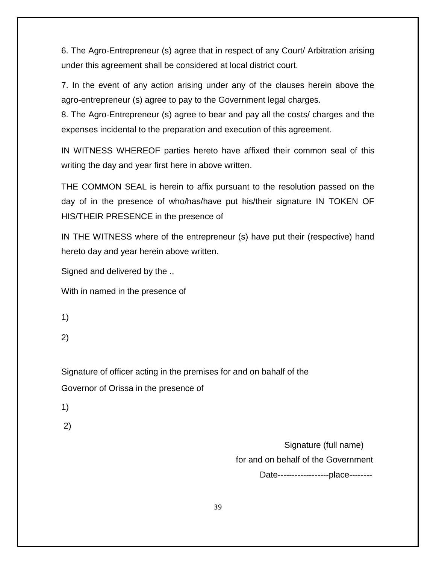6. The Agro-Entrepreneur (s) agree that in respect of any Court/ Arbitration arising under this agreement shall be considered at local district court.

7. In the event of any action arising under any of the clauses herein above the agro-entrepreneur (s) agree to pay to the Government legal charges.

8. The Agro-Entrepreneur (s) agree to bear and pay all the costs/ charges and the expenses incidental to the preparation and execution of this agreement.

IN WITNESS WHEREOF parties hereto have affixed their common seal of this writing the day and year first here in above written.

THE COMMON SEAL is herein to affix pursuant to the resolution passed on the day of in the presence of who/has/have put his/their signature IN TOKEN OF HIS/THEIR PRESENCE in the presence of

IN THE WITNESS where of the entrepreneur (s) have put their (respective) hand hereto day and year herein above written.

Signed and delivered by the .,

With in named in the presence of

1)

2)

Signature of officer acting in the premises for and on bahalf of the Governor of Orissa in the presence of

1)

2)

 Signature (full name) for and on behalf of the Government

Date------------------place--------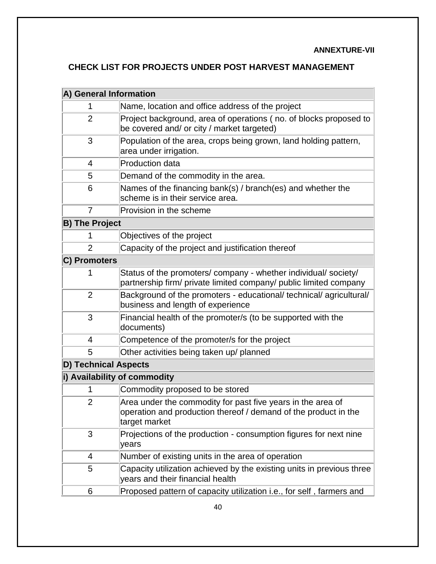### **ANNEXTURE-VII**

## **CHECK LIST FOR PROJECTS UNDER POST HARVEST MANAGEMENT**

| A) General Information      |                                                                                                                                                 |  |  |  |  |  |  |
|-----------------------------|-------------------------------------------------------------------------------------------------------------------------------------------------|--|--|--|--|--|--|
| 1                           | Name, location and office address of the project                                                                                                |  |  |  |  |  |  |
| $\overline{2}$              | Project background, area of operations (no. of blocks proposed to<br>be covered and/ or city / market targeted)                                 |  |  |  |  |  |  |
| 3                           | Population of the area, crops being grown, land holding pattern,<br>area under irrigation.                                                      |  |  |  |  |  |  |
| 4                           | <b>Production data</b>                                                                                                                          |  |  |  |  |  |  |
| 5                           | Demand of the commodity in the area.                                                                                                            |  |  |  |  |  |  |
| 6                           | Names of the financing bank(s) / branch(es) and whether the<br>scheme is in their service area.                                                 |  |  |  |  |  |  |
| $\overline{7}$              | Provision in the scheme                                                                                                                         |  |  |  |  |  |  |
| <b>B) The Project</b>       |                                                                                                                                                 |  |  |  |  |  |  |
| 1                           | Objectives of the project                                                                                                                       |  |  |  |  |  |  |
| $\overline{2}$              | Capacity of the project and justification thereof                                                                                               |  |  |  |  |  |  |
| C) Promoters                |                                                                                                                                                 |  |  |  |  |  |  |
|                             | Status of the promoters/ company - whether individual/ society/<br>partnership firm/ private limited company/ public limited company            |  |  |  |  |  |  |
| $\overline{2}$              | Background of the promoters - educational/ technical/ agricultural/<br>business and length of experience                                        |  |  |  |  |  |  |
| 3                           | Financial health of the promoter/s (to be supported with the<br>documents)                                                                      |  |  |  |  |  |  |
| 4                           | Competence of the promoter/s for the project                                                                                                    |  |  |  |  |  |  |
| 5                           | Other activities being taken up/ planned                                                                                                        |  |  |  |  |  |  |
| <b>D) Technical Aspects</b> |                                                                                                                                                 |  |  |  |  |  |  |
|                             | i) Availability of commodity                                                                                                                    |  |  |  |  |  |  |
| 1                           | Commodity proposed to be stored                                                                                                                 |  |  |  |  |  |  |
| $\overline{2}$              | Area under the commodity for past five years in the area of<br>operation and production thereof / demand of the product in the<br>target market |  |  |  |  |  |  |
| 3                           | Projections of the production - consumption figures for next nine<br>years                                                                      |  |  |  |  |  |  |
| 4                           | Number of existing units in the area of operation                                                                                               |  |  |  |  |  |  |
| 5                           | Capacity utilization achieved by the existing units in previous three<br>years and their financial health                                       |  |  |  |  |  |  |
| 6                           | Proposed pattern of capacity utilization i.e., for self, farmers and                                                                            |  |  |  |  |  |  |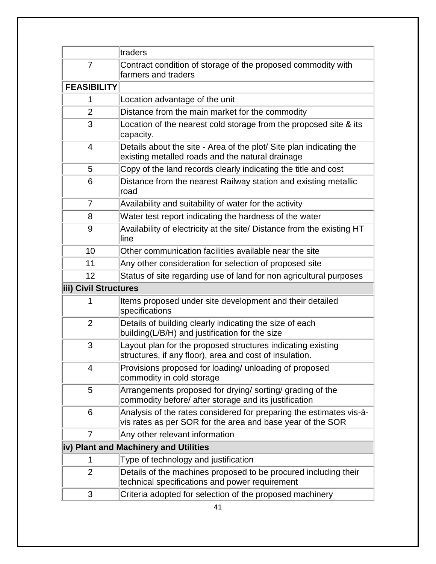|                       | traders                                                                                                                           |  |  |  |  |
|-----------------------|-----------------------------------------------------------------------------------------------------------------------------------|--|--|--|--|
| $\overline{7}$        | Contract condition of storage of the proposed commodity with<br>farmers and traders                                               |  |  |  |  |
| <b>FEASIBILITY</b>    |                                                                                                                                   |  |  |  |  |
| 1                     | Location advantage of the unit                                                                                                    |  |  |  |  |
| $\overline{2}$        | Distance from the main market for the commodity                                                                                   |  |  |  |  |
| 3                     | Location of the nearest cold storage from the proposed site & its<br>capacity.                                                    |  |  |  |  |
| $\overline{4}$        | Details about the site - Area of the plot/ Site plan indicating the<br>existing metalled roads and the natural drainage           |  |  |  |  |
| 5                     | Copy of the land records clearly indicating the title and cost                                                                    |  |  |  |  |
| 6                     | Distance from the nearest Railway station and existing metallic<br>∣road                                                          |  |  |  |  |
| 7                     | Availability and suitability of water for the activity                                                                            |  |  |  |  |
| 8                     | Water test report indicating the hardness of the water                                                                            |  |  |  |  |
| 9                     | Availability of electricity at the site/ Distance from the existing HT<br>lline                                                   |  |  |  |  |
| 10                    | Other communication facilities available near the site                                                                            |  |  |  |  |
| 11                    | Any other consideration for selection of proposed site                                                                            |  |  |  |  |
| 12                    | Status of site regarding use of land for non agricultural purposes                                                                |  |  |  |  |
| iii) Civil Structures |                                                                                                                                   |  |  |  |  |
| 1                     | Items proposed under site development and their detailed<br>specifications                                                        |  |  |  |  |
| $\overline{2}$        | Details of building clearly indicating the size of each<br>building(L/B/H) and justification for the size                         |  |  |  |  |
| 3                     | Layout plan for the proposed structures indicating existing<br>structures, if any floor), area and cost of insulation.            |  |  |  |  |
| 4                     | Provisions proposed for loading/ unloading of proposed<br>commodity in cold storage                                               |  |  |  |  |
| 5                     | Arrangements proposed for drying/ sorting/ grading of the<br>commodity before/ after storage and its justification                |  |  |  |  |
| 6                     | Analysis of the rates considered for preparing the estimates vis-à-<br>vis rates as per SOR for the area and base year of the SOR |  |  |  |  |
| 7                     | Any other relevant information                                                                                                    |  |  |  |  |
|                       | iv) Plant and Machinery and Utilities                                                                                             |  |  |  |  |
| 1                     | Type of technology and justification                                                                                              |  |  |  |  |
| $\overline{2}$        | Details of the machines proposed to be procured including their<br>technical specifications and power requirement                 |  |  |  |  |
| 3                     | Criteria adopted for selection of the proposed machinery                                                                          |  |  |  |  |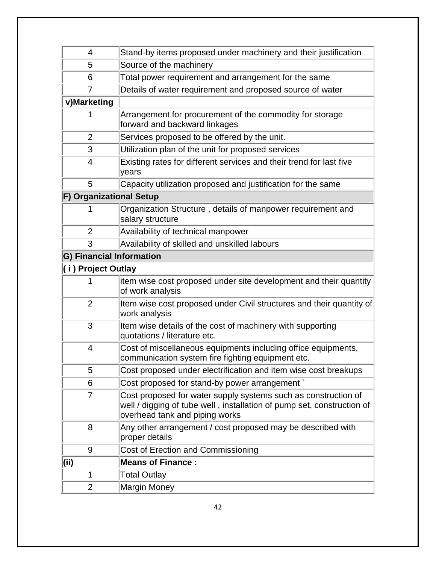| 4                               | Stand-by items proposed under machinery and their justification                                                                                                            |  |  |  |  |  |  |
|---------------------------------|----------------------------------------------------------------------------------------------------------------------------------------------------------------------------|--|--|--|--|--|--|
| 5                               | Source of the machinery                                                                                                                                                    |  |  |  |  |  |  |
| 6                               | Total power requirement and arrangement for the same                                                                                                                       |  |  |  |  |  |  |
| 7                               | Details of water requirement and proposed source of water                                                                                                                  |  |  |  |  |  |  |
| v)Marketing                     |                                                                                                                                                                            |  |  |  |  |  |  |
| 1                               | Arrangement for procurement of the commodity for storage<br>forward and backward linkages                                                                                  |  |  |  |  |  |  |
| $\overline{2}$                  | Services proposed to be offered by the unit.                                                                                                                               |  |  |  |  |  |  |
| 3                               | Utilization plan of the unit for proposed services                                                                                                                         |  |  |  |  |  |  |
| $\overline{4}$                  | Existing rates for different services and their trend for last five<br>years                                                                                               |  |  |  |  |  |  |
| 5                               | Capacity utilization proposed and justification for the same                                                                                                               |  |  |  |  |  |  |
| F) Organizational Setup         |                                                                                                                                                                            |  |  |  |  |  |  |
| 1                               | Organization Structure, details of manpower requirement and<br>salary structure                                                                                            |  |  |  |  |  |  |
| $\overline{2}$                  | Availability of technical manpower                                                                                                                                         |  |  |  |  |  |  |
| 3                               | Availability of skilled and unskilled labours                                                                                                                              |  |  |  |  |  |  |
| <b>G) Financial Information</b> |                                                                                                                                                                            |  |  |  |  |  |  |
| (i) Project Outlay              |                                                                                                                                                                            |  |  |  |  |  |  |
|                                 | item wise cost proposed under site development and their quantity<br>of work analysis                                                                                      |  |  |  |  |  |  |
| $\overline{2}$                  | Item wise cost proposed under Civil structures and their quantity of<br>work analysis                                                                                      |  |  |  |  |  |  |
| 3                               | Item wise details of the cost of machinery with supporting<br>quotations / literature etc.                                                                                 |  |  |  |  |  |  |
| $\overline{4}$                  | Cost of miscellaneous equipments including office equipments,<br>communication system fire fighting equipment etc.                                                         |  |  |  |  |  |  |
| 5                               | Cost proposed under electrification and item wise cost breakups                                                                                                            |  |  |  |  |  |  |
| 6                               | Cost proposed for stand-by power arrangement                                                                                                                               |  |  |  |  |  |  |
| $\overline{7}$                  | Cost proposed for water supply systems such as construction of<br>well / digging of tube well, installation of pump set, construction of<br>overhead tank and piping works |  |  |  |  |  |  |
| 8                               | Any other arrangement / cost proposed may be described with<br>proper details                                                                                              |  |  |  |  |  |  |
| 9                               | Cost of Erection and Commissioning                                                                                                                                         |  |  |  |  |  |  |
| (ii)                            | <b>Means of Finance:</b>                                                                                                                                                   |  |  |  |  |  |  |
| 1                               | <b>Total Outlay</b>                                                                                                                                                        |  |  |  |  |  |  |
| $\overline{2}$                  | <b>Margin Money</b>                                                                                                                                                        |  |  |  |  |  |  |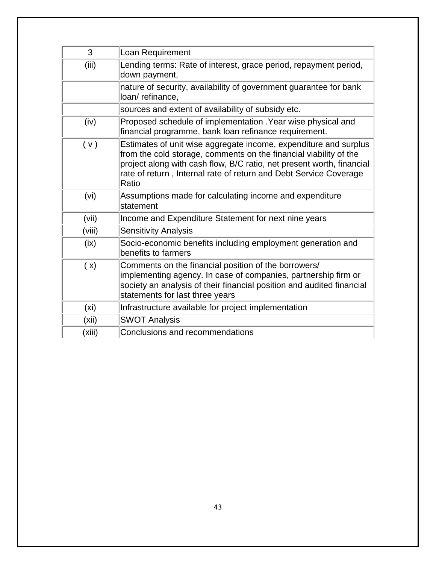| 3      | Loan Requirement                                                                                                                                                                                                                                                                             |
|--------|----------------------------------------------------------------------------------------------------------------------------------------------------------------------------------------------------------------------------------------------------------------------------------------------|
| (iii)  | Lending terms: Rate of interest, grace period, repayment period,<br>down payment,                                                                                                                                                                                                            |
|        | nature of security, availability of government guarantee for bank<br>loan/refinance,                                                                                                                                                                                                         |
|        | sources and extent of availability of subsidy etc.                                                                                                                                                                                                                                           |
| (iv)   | Proposed schedule of implementation . Year wise physical and<br>financial programme, bank loan refinance requirement.                                                                                                                                                                        |
| (v)    | Estimates of unit wise aggregate income, expenditure and surplus<br>from the cold storage, comments on the financial viability of the<br>project along with cash flow, B/C ratio, net present worth, financial<br>rate of return, Internal rate of return and Debt Service Coverage<br>Ratio |
| (vi)   | Assumptions made for calculating income and expenditure<br>statement                                                                                                                                                                                                                         |
| (vii)  | Income and Expenditure Statement for next nine years                                                                                                                                                                                                                                         |
| (viii) | <b>Sensitivity Analysis</b>                                                                                                                                                                                                                                                                  |
| (ix)   | Socio-economic benefits including employment generation and<br>benefits to farmers                                                                                                                                                                                                           |
| (x)    | Comments on the financial position of the borrowers/<br>implementing agency. In case of companies, partnership firm or<br>society an analysis of their financial position and audited financial<br>statements for last three years                                                           |
| (xi)   | Infrastructure available for project implementation                                                                                                                                                                                                                                          |
| (xii)  | <b>SWOT Analysis</b>                                                                                                                                                                                                                                                                         |
| (xiii) | Conclusions and recommendations                                                                                                                                                                                                                                                              |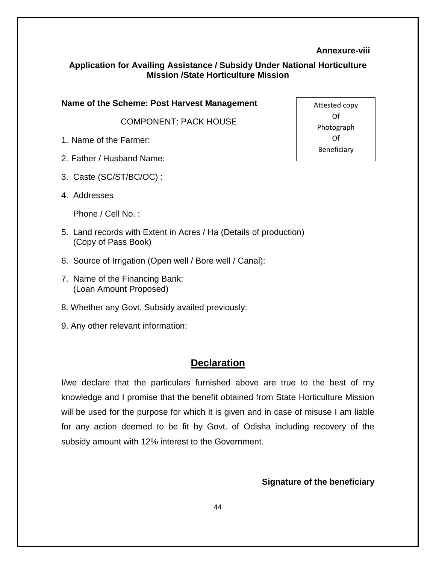#### **Annexure-viii**

#### **Application for Availing Assistance / Subsidy Under National Horticulture Mission /State Horticulture Mission**

**Name of the Scheme: Post Harvest Management**

COMPONENT: PACK HOUSE

- 1. Name of the Farmer:
- 2. Father / Husband Name:
- 3. Caste (SC/ST/BC/OC) :
- 4. Addresses

Phone / Cell No. :

- 5. Land records with Extent in Acres / Ha (Details of production) (Copy of Pass Book)
- 6. Source of Irrigation (Open well / Bore well / Canal):
- 7. Name of the Financing Bank: (Loan Amount Proposed)
- 8. Whether any Govt. Subsidy availed previously:
- 9. Any other relevant information:

## **Declaration**

I/we declare that the particulars furnished above are true to the best of my knowledge and I promise that the benefit obtained from State Horticulture Mission will be used for the purpose for which it is given and in case of misuse I am liable for any action deemed to be fit by Govt. of Odisha including recovery of the subsidy amount with 12% interest to the Government.

#### **Signature of the beneficiary**

Attested copy Of Photograph Of Beneficiary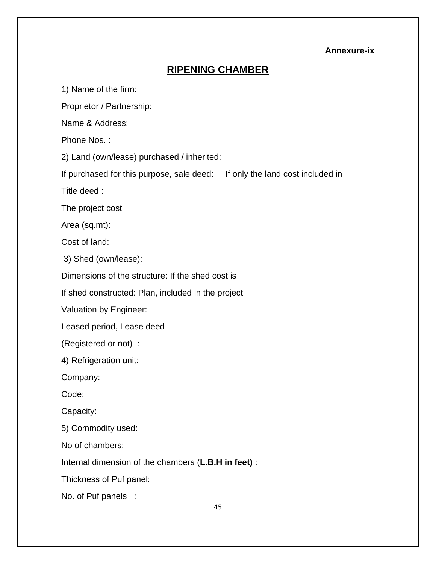### **Annexure-ix**

## **RIPENING CHAMBER**

1) Name of the firm:

Proprietor / Partnership:

Name & Address:

Phone Nos. :

2) Land (own/lease) purchased / inherited:

If purchased for this purpose, sale deed: If only the land cost included in

Title deed :

The project cost

Area (sq.mt):

Cost of land:

3) Shed (own/lease):

Dimensions of the structure: If the shed cost is

If shed constructed: Plan, included in the project

Valuation by Engineer:

Leased period, Lease deed

(Registered or not) :

4) Refrigeration unit:

Company:

Code:

Capacity:

5) Commodity used:

No of chambers:

Internal dimension of the chambers (**L.B.H in feet)** :

Thickness of Puf panel:

No. of Puf panels :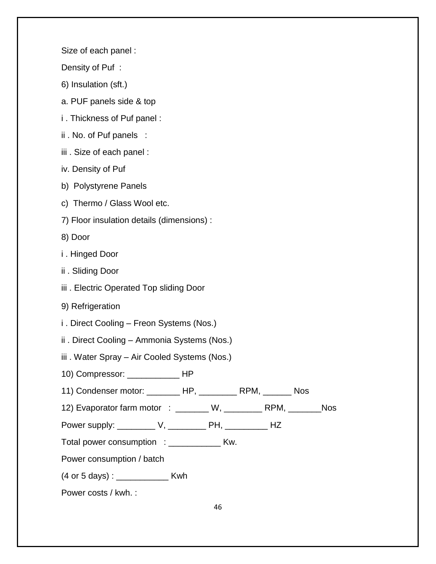Size of each panel :

Density of Puf :

- 6) Insulation (sft.)
- a. PUF panels side & top
- i . Thickness of Puf panel :
- ii . No. of Puf panels :
- iii . Size of each panel :
- iv. Density of Puf
- b) Polystyrene Panels
- c) Thermo / Glass Wool etc.
- 7) Floor insulation details (dimensions) :
- 8) Door
- i . Hinged Door
- ii . Sliding Door
- iii . Electric Operated Top sliding Door
- 9) Refrigeration
- i . Direct Cooling Freon Systems (Nos.)
- ii . Direct Cooling Ammonia Systems (Nos.)
- iii . Water Spray Air Cooled Systems (Nos.)
- 10) Compressor: \_\_\_\_\_\_\_\_\_\_\_ HP
- 11) Condenser motor: \_\_\_\_\_\_\_ HP, \_\_\_\_\_\_\_\_ RPM, \_\_\_\_\_\_ Nos
- 12) Evaporator farm motor : \_\_\_\_\_\_ W, \_\_\_\_\_\_\_ RPM, \_\_\_\_\_\_ Nos
- Power supply: \_\_\_\_\_\_\_\_\_\_ V, \_\_\_\_\_\_\_\_\_ PH, \_\_\_\_\_\_\_\_\_\_ HZ
- Total power consumption : \_\_\_\_\_\_\_\_\_\_\_\_\_\_ Kw.
- Power consumption / batch
- (4 or 5 days) : \_\_\_\_\_\_\_\_\_\_\_ Kwh
- Power costs / kwh. :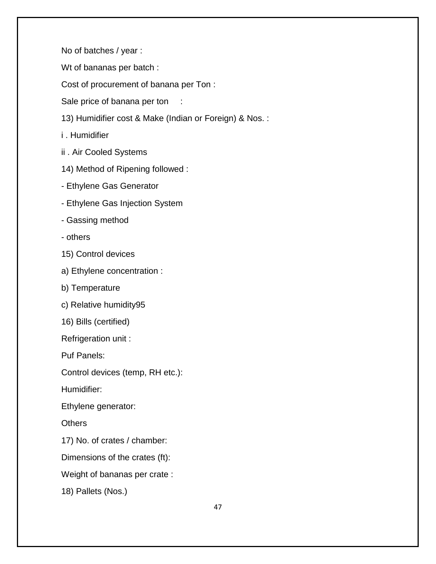No of batches / year :

Wt of bananas per batch :

Cost of procurement of banana per Ton :

Sale price of banana per ton :

13) Humidifier cost & Make (Indian or Foreign) & Nos. :

i . Humidifier

- ii . Air Cooled Systems
- 14) Method of Ripening followed :
- Ethylene Gas Generator
- Ethylene Gas Injection System
- Gassing method
- others
- 15) Control devices
- a) Ethylene concentration :
- b) Temperature
- c) Relative humidity95
- 16) Bills (certified)

Refrigeration unit :

Puf Panels:

Control devices (temp, RH etc.):

Humidifier:

Ethylene generator:

**Others** 

17) No. of crates / chamber:

Dimensions of the crates (ft):

Weight of bananas per crate :

18) Pallets (Nos.)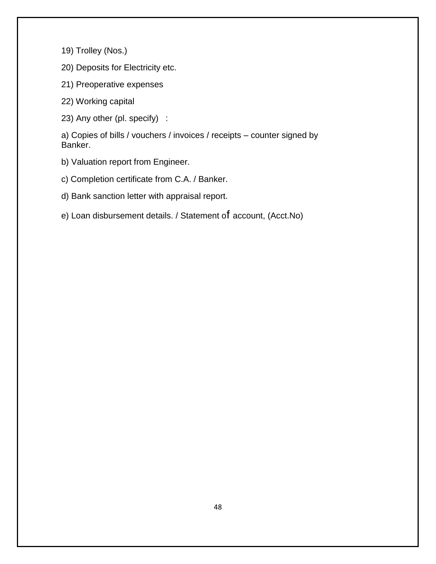19) Trolley (Nos.)

20) Deposits for Electricity etc.

21) Preoperative expenses

22) Working capital

23) Any other (pl. specify) :

a) Copies of bills / vouchers / invoices / receipts – counter signed by Banker.

b) Valuation report from Engineer.

c) Completion certificate from C.A. / Banker.

d) Bank sanction letter with appraisal report.

e) Loan disbursement details. / Statement of account, (Acct.No)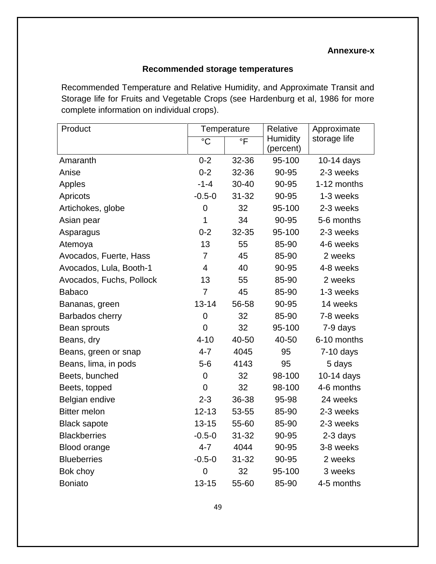#### **Annexure-x**

## **Recommended storage temperatures**

Recommended Temperature and Relative Humidity, and Approximate Transit and Storage life for Fruits and Vegetable Crops (see Hardenburg et al, 1986 for more complete information on individual crops).

| Product                  | Temperature    |                         | Relative  | Approximate  |
|--------------------------|----------------|-------------------------|-----------|--------------|
|                          | $\overline{C}$ | $\overline{\mathsf{F}}$ | Humidity  | storage life |
|                          |                |                         | (percent) |              |
| Amaranth                 | $0 - 2$        | 32-36                   | 95-100    | 10-14 days   |
| Anise                    | $0 - 2$        | 32-36                   | 90-95     | 2-3 weeks    |
| Apples                   | $-1 - 4$       | 30-40                   | 90-95     | 1-12 months  |
| Apricots                 | $-0.5 - 0$     | $31 - 32$               | 90-95     | 1-3 weeks    |
| Artichokes, globe        | $\overline{0}$ | 32                      | 95-100    | 2-3 weeks    |
| Asian pear               | 1              | 34                      | 90-95     | 5-6 months   |
| Asparagus                | $0 - 2$        | 32-35                   | 95-100    | 2-3 weeks    |
| Atemoya                  | 13             | 55                      | 85-90     | 4-6 weeks    |
| Avocados, Fuerte, Hass   | $\overline{7}$ | 45                      | 85-90     | 2 weeks      |
| Avocados, Lula, Booth-1  | $\overline{4}$ | 40                      | 90-95     | 4-8 weeks    |
| Avocados, Fuchs, Pollock | 13             | 55                      | 85-90     | 2 weeks      |
| <b>Babaco</b>            | $\overline{7}$ | 45                      | 85-90     | 1-3 weeks    |
| Bananas, green           | $13 - 14$      | 56-58                   | 90-95     | 14 weeks     |
| Barbados cherry          | $\overline{0}$ | 32                      | 85-90     | 7-8 weeks    |
| Bean sprouts             | $\overline{0}$ | 32                      | 95-100    | 7-9 days     |
| Beans, dry               | $4 - 10$       | 40-50                   | 40-50     | 6-10 months  |
| Beans, green or snap     | $4 - 7$        | 4045                    | 95        | $7-10$ days  |
| Beans, lima, in pods     | $5-6$          | 4143                    | 95        | 5 days       |
| Beets, bunched           | $\mathbf 0$    | 32                      | 98-100    | 10-14 days   |
| Beets, topped            | $\overline{0}$ | 32                      | 98-100    | 4-6 months   |
| Belgian endive           | $2 - 3$        | 36-38                   | 95-98     | 24 weeks     |
| <b>Bitter melon</b>      | $12 - 13$      | 53-55                   | 85-90     | 2-3 weeks    |
| <b>Black sapote</b>      | $13 - 15$      | 55-60                   | 85-90     | 2-3 weeks    |
| <b>Blackberries</b>      | $-0.5 - 0$     | $31 - 32$               | 90-95     | 2-3 days     |
| Blood orange             | $4 - 7$        | 4044                    | 90-95     | 3-8 weeks    |
| <b>Blueberries</b>       | $-0.5-0$       | $31 - 32$               | 90-95     | 2 weeks      |
| Bok choy                 | $\overline{0}$ | 32                      | 95-100    | 3 weeks      |
| <b>Boniato</b>           | $13 - 15$      | 55-60                   | 85-90     | 4-5 months   |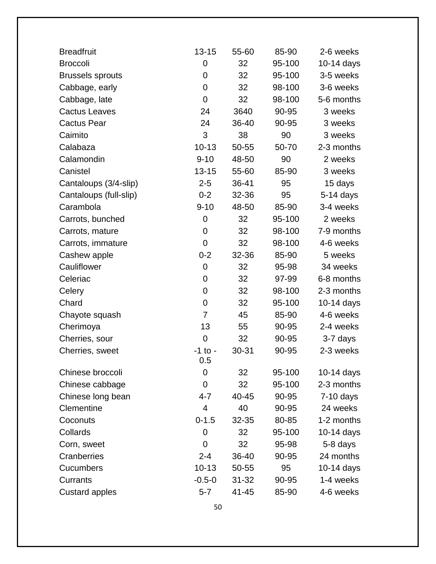| <b>Breadfruit</b>       | $13 - 15$      | 55-60     | 85-90  | 2-6 weeks   |
|-------------------------|----------------|-----------|--------|-------------|
| <b>Broccoli</b>         | $\mathbf 0$    | 32        | 95-100 | 10-14 days  |
| <b>Brussels sprouts</b> | 0              | 32        | 95-100 | 3-5 weeks   |
| Cabbage, early          | $\overline{0}$ | 32        | 98-100 | 3-6 weeks   |
| Cabbage, late           | $\mathbf 0$    | 32        | 98-100 | 5-6 months  |
| <b>Cactus Leaves</b>    | 24             | 3640      | 90-95  | 3 weeks     |
| <b>Cactus Pear</b>      | 24             | 36-40     | 90-95  | 3 weeks     |
| Caimito                 | 3              | 38        | 90     | 3 weeks     |
| Calabaza                | $10 - 13$      | 50-55     | 50-70  | 2-3 months  |
| Calamondin              | $9 - 10$       | 48-50     | 90     | 2 weeks     |
| Canistel                | $13 - 15$      | 55-60     | 85-90  | 3 weeks     |
| Cantaloups (3/4-slip)   | $2 - 5$        | 36-41     | 95     | 15 days     |
| Cantaloups (full-slip)  | $0 - 2$        | 32-36     | 95     | 5-14 days   |
| Carambola               | $9 - 10$       | 48-50     | 85-90  | 3-4 weeks   |
| Carrots, bunched        | $\mathbf 0$    | 32        | 95-100 | 2 weeks     |
| Carrots, mature         | $\mathbf 0$    | 32        | 98-100 | 7-9 months  |
| Carrots, immature       | 0              | 32        | 98-100 | 4-6 weeks   |
| Cashew apple            | $0 - 2$        | 32-36     | 85-90  | 5 weeks     |
| Cauliflower             | $\mathbf 0$    | 32        | 95-98  | 34 weeks    |
| Celeriac                | 0              | 32        | 97-99  | 6-8 months  |
| Celery                  | $\mathbf 0$    | 32        | 98-100 | 2-3 months  |
| Chard                   | $\mathbf 0$    | 32        | 95-100 | 10-14 days  |
| Chayote squash          | $\overline{7}$ | 45        | 85-90  | 4-6 weeks   |
| Cherimoya               | 13             | 55        | 90-95  | 2-4 weeks   |
| Cherries, sour          | $\mathbf 0$    | 32        | 90-95  | 3-7 days    |
| Cherries, sweet         | -1 to -<br>0.5 | $30 - 31$ | 90-95  | 2-3 weeks   |
| Chinese broccoli        | 0              | 32        | 95-100 | 10-14 days  |
| Chinese cabbage         | 0              | 32        | 95-100 | 2-3 months  |
| Chinese long bean       | 4-7            | 40-45     | 90-95  | $7-10$ days |
| Clementine              | 4              | 40        | 90-95  | 24 weeks    |
| Coconuts                | $0 - 1.5$      | 32-35     | 80-85  | 1-2 months  |
| Collards                | $\mathbf 0$    | 32        | 95-100 | 10-14 days  |
| Corn, sweet             | $\overline{0}$ | 32        | 95-98  | 5-8 days    |
| Cranberries             | $2 - 4$        | 36-40     | 90-95  | 24 months   |
| Cucumbers               | $10 - 13$      | 50-55     | 95     | 10-14 days  |
| Currants                | $-0.5 - 0$     | $31 - 32$ | 90-95  | 1-4 weeks   |
| <b>Custard apples</b>   | $5 - 7$        | 41-45     | 85-90  | 4-6 weeks   |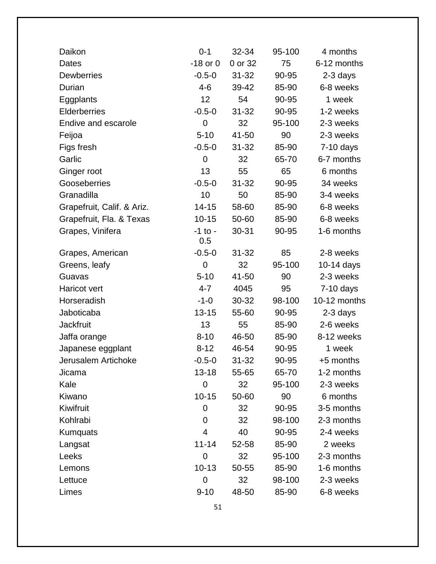| $0 - 1$        | 32-34     | 95-100      | 4 months     |
|----------------|-----------|-------------|--------------|
| $-18$ or $0$   | 0 or 32   | 75          | 6-12 months  |
| $-0.5 - 0$     | $31 - 32$ | 90-95       | 2-3 days     |
| $4 - 6$        | 39-42     | 85-90       | 6-8 weeks    |
| 12             | 54        | 90-95       | 1 week       |
| $-0.5 - 0$     | $31 - 32$ | 90-95       | 1-2 weeks    |
| $\mathbf 0$    | 32        | 95-100      | 2-3 weeks    |
| $5 - 10$       | 41-50     | 90          | 2-3 weeks    |
| $-0.5 - 0$     | $31 - 32$ | 85-90       | $7-10$ days  |
| $\mathbf 0$    | 32        | 65-70       | 6-7 months   |
| 13             | 55        | 65          | 6 months     |
| $-0.5 - 0$     | $31 - 32$ | 90-95       | 34 weeks     |
| 10             | 50        | 85-90       | 3-4 weeks    |
| 14-15          | 58-60     | 85-90       | 6-8 weeks    |
| $10 - 15$      | 50-60     | 85-90       | 6-8 weeks    |
| $-1$ to $-$    | 30-31     | 90-95       | 1-6 months   |
| 0.5            |           |             |              |
| $-0.5 - 0$     | 31-32     |             | 2-8 weeks    |
| $\mathbf 0$    |           |             | 10-14 days   |
|                |           | 90          | 2-3 weeks    |
| 4-7            | 4045      | 95          | $7-10$ days  |
| $-1-0$         | 30-32     | 98-100      | 10-12 months |
| $13 - 15$      | 55-60     | 90-95       | 2-3 days     |
| 13             | 55        | 85-90       | 2-6 weeks    |
| $8 - 10$       | 46-50     | 85-90       | 8-12 weeks   |
| $8 - 12$       | 46-54     | 90-95       | 1 week       |
| $-0.5-0$       | 31-32     | 90-95       | +5 months    |
| 13-18          | 55-65     | 65-70       | 1-2 months   |
| $\mathbf 0$    | 32        | 95-100      | 2-3 weeks    |
| $10 - 15$      | 50-60     | 90          | 6 months     |
| $\mathbf 0$    | 32        | 90-95       | 3-5 months   |
| 0              | 32        | 98-100      | 2-3 months   |
| $\overline{4}$ | 40        | 90-95       | 2-4 weeks    |
| $11 - 14$      | 52-58     | 85-90       | 2 weeks      |
| $\mathbf 0$    | 32        | 95-100      | 2-3 months   |
| $10 - 13$      | 50-55     | 85-90       | 1-6 months   |
| 0              | 32        | 98-100      | 2-3 weeks    |
| $9 - 10$       | 48-50     | 85-90       | 6-8 weeks    |
|                | $5 - 10$  | 32<br>41-50 | 85<br>95-100 |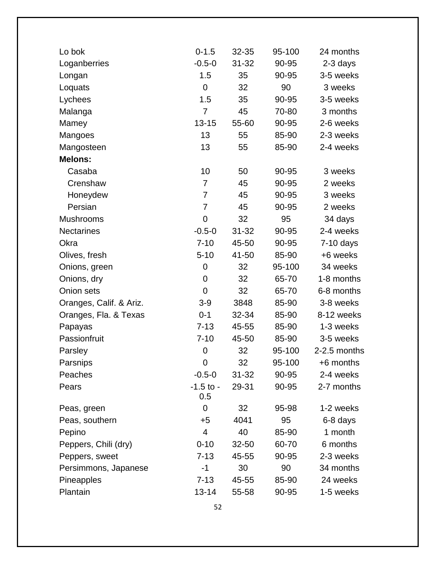| $0 - 1.5$            | 32-35     | 95-100 | 24 months    |
|----------------------|-----------|--------|--------------|
| $-0.5 - 0$           | $31 - 32$ | 90-95  | 2-3 days     |
| 1.5                  | 35        | 90-95  | 3-5 weeks    |
| $\overline{0}$       | 32        | 90     | 3 weeks      |
| 1.5                  | 35        | 90-95  | 3-5 weeks    |
| 7                    | 45        | 70-80  | 3 months     |
| $13 - 15$            | 55-60     | 90-95  | 2-6 weeks    |
| 13                   | 55        | 85-90  | 2-3 weeks    |
| 13                   | 55        | 85-90  | 2-4 weeks    |
|                      |           |        |              |
| 10                   | 50        | 90-95  | 3 weeks      |
| 7                    | 45        | 90-95  | 2 weeks      |
| 7                    | 45        | 90-95  | 3 weeks      |
| $\overline{7}$       | 45        | 90-95  | 2 weeks      |
| 0                    | 32        | 95     | 34 days      |
| $-0.5 - 0$           | $31 - 32$ | 90-95  | 2-4 weeks    |
| $7 - 10$             | 45-50     | 90-95  | $7-10$ days  |
| $5 - 10$             | 41-50     | 85-90  | +6 weeks     |
| 0                    | 32        | 95-100 | 34 weeks     |
| 0                    | 32        | 65-70  | 1-8 months   |
| $\mathbf 0$          | 32        | 65-70  | 6-8 months   |
| $3-9$                | 3848      | 85-90  | 3-8 weeks    |
| $0 - 1$              | 32-34     | 85-90  | 8-12 weeks   |
| $7 - 13$             | 45-55     | 85-90  | 1-3 weeks    |
| $7 - 10$             | 45-50     | 85-90  | 3-5 weeks    |
| 0                    | 32        | 95-100 | 2-2.5 months |
| 0                    | 32        | 95-100 | +6 months    |
| $-0.5-0$             | $31 - 32$ | 90-95  | 2-4 weeks    |
| $-1.5$ to $-$<br>0.5 | 29-31     | 90-95  | 2-7 months   |
| $\mathbf 0$          | 32        | 95-98  | 1-2 weeks    |
| $+5$                 | 4041      | 95     | 6-8 days     |
| 4                    | 40        | 85-90  | 1 month      |
| $0 - 10$             | $32 - 50$ | 60-70  | 6 months     |
| $7 - 13$             | 45-55     | 90-95  | 2-3 weeks    |
| $-1$                 | 30        | 90     | 34 months    |
| $7 - 13$             | 45-55     | 85-90  | 24 weeks     |
| $13 - 14$            | 55-58     | 90-95  | 1-5 weeks    |
|                      |           |        |              |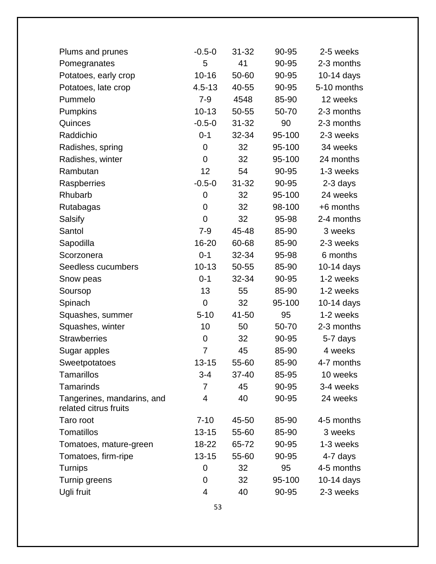| Plums and prunes                                    | $-0.5 - 0$     | 31-32     | 90-95  | 2-5 weeks   |
|-----------------------------------------------------|----------------|-----------|--------|-------------|
| Pomegranates                                        | 5              | 41        | 90-95  | 2-3 months  |
| Potatoes, early crop                                | $10 - 16$      | 50-60     | 90-95  | 10-14 days  |
| Potatoes, late crop                                 | $4.5 - 13$     | 40-55     | 90-95  | 5-10 months |
| Pummelo                                             | $7 - 9$        | 4548      | 85-90  | 12 weeks    |
| <b>Pumpkins</b>                                     | $10 - 13$      | 50-55     | 50-70  | 2-3 months  |
| Quinces                                             | $-0.5 - 0$     | $31 - 32$ | 90     | 2-3 months  |
| Raddichio                                           | $0 - 1$        | 32-34     | 95-100 | 2-3 weeks   |
| Radishes, spring                                    | $\overline{0}$ | 32        | 95-100 | 34 weeks    |
| Radishes, winter                                    | $\mathbf 0$    | 32        | 95-100 | 24 months   |
| Rambutan                                            | 12             | 54        | 90-95  | 1-3 weeks   |
| Raspberries                                         | $-0.5 - 0$     | $31 - 32$ | 90-95  | 2-3 days    |
| Rhubarb                                             | $\mathbf 0$    | 32        | 95-100 | 24 weeks    |
| Rutabagas                                           | $\overline{0}$ | 32        | 98-100 | +6 months   |
| Salsify                                             | $\overline{0}$ | 32        | 95-98  | 2-4 months  |
| Santol                                              | $7 - 9$        | 45-48     | 85-90  | 3 weeks     |
| Sapodilla                                           | 16-20          | 60-68     | 85-90  | 2-3 weeks   |
| Scorzonera                                          | $0 - 1$        | 32-34     | 95-98  | 6 months    |
| Seedless cucumbers                                  | $10 - 13$      | 50-55     | 85-90  | 10-14 days  |
| Snow peas                                           | $0 - 1$        | 32-34     | 90-95  | 1-2 weeks   |
| Soursop                                             | 13             | 55        | 85-90  | 1-2 weeks   |
| Spinach                                             | $\overline{0}$ | 32        | 95-100 | 10-14 days  |
| Squashes, summer                                    | $5 - 10$       | 41-50     | 95     | 1-2 weeks   |
| Squashes, winter                                    | 10             | 50        | 50-70  | 2-3 months  |
| <b>Strawberries</b>                                 | $\overline{0}$ | 32        | 90-95  | 5-7 days    |
| Sugar apples                                        | 7              | 45        | 85-90  | 4 weeks     |
| Sweetpotatoes                                       | 13-15          | 55-60     | 85-90  | 4-7 months  |
| <b>Tamarillos</b>                                   | $3 - 4$        | 37-40     | 85-95  | 10 weeks    |
| <b>Tamarinds</b>                                    | $\overline{7}$ | 45        | 90-95  | 3-4 weeks   |
| Tangerines, mandarins, and<br>related citrus fruits | 4              | 40        | 90-95  | 24 weeks    |
| Taro root                                           | $7 - 10$       | 45-50     | 85-90  | 4-5 months  |
| Tomatillos                                          | $13 - 15$      | 55-60     | 85-90  | 3 weeks     |
| Tomatoes, mature-green                              | 18-22          | 65-72     | 90-95  | 1-3 weeks   |
| Tomatoes, firm-ripe                                 | $13 - 15$      | 55-60     | 90-95  | 4-7 days    |
| <b>Turnips</b>                                      | 0              | 32        | 95     | 4-5 months  |
| Turnip greens                                       | 0              | 32        | 95-100 | 10-14 days  |
| Ugli fruit                                          | 4              | 40        | 90-95  | 2-3 weeks   |
|                                                     |                |           |        |             |